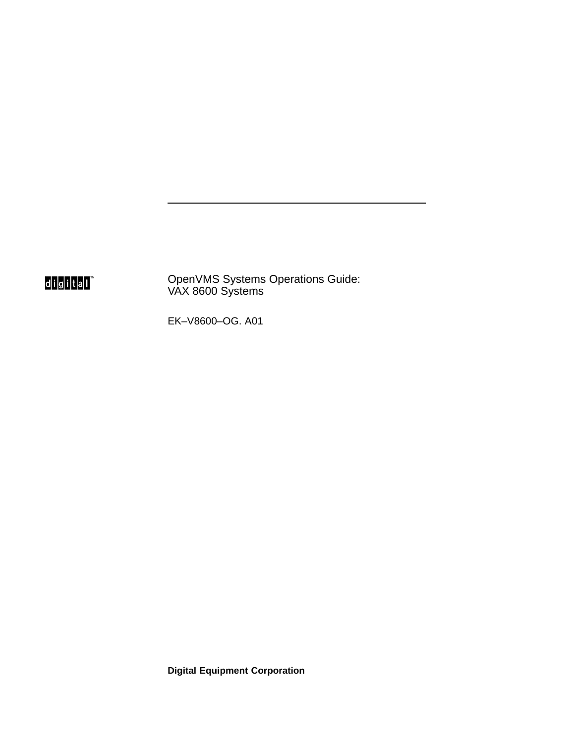digital<sup>"</sup>

OpenVMS Systems Operations Guide: VAX 8600 Systems

EK–V8600–OG. A01

**Digital Equipment Corporation**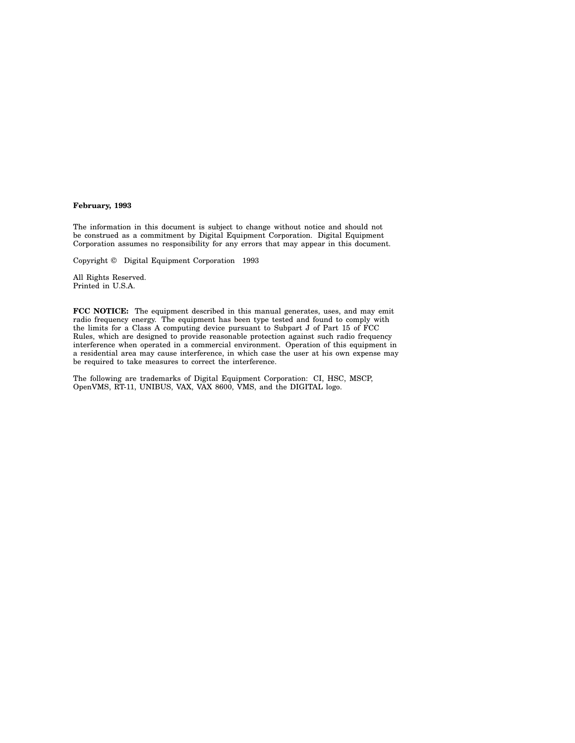#### **February, 1993**

The information in this document is subject to change without notice and should not be construed as a commitment by Digital Equipment Corporation. Digital Equipment Corporation assumes no responsibility for any errors that may appear in this document.

Copyright © Digital Equipment Corporation 1993

All Rights Reserved. Printed in U.S.A.

**FCC NOTICE:** The equipment described in this manual generates, uses, and may emit radio frequency energy. The equipment has been type tested and found to comply with the limits for a Class A computing device pursuant to Subpart J of Part 15 of FCC Rules, which are designed to provide reasonable protection against such radio frequency interference when operated in a commercial environment. Operation of this equipment in a residential area may cause interference, in which case the user at his own expense may be required to take measures to correct the interference.

The following are trademarks of Digital Equipment Corporation: CI, HSC, MSCP, OpenVMS, RT-11, UNIBUS, VAX, VAX 8600, VMS, and the DIGITAL logo.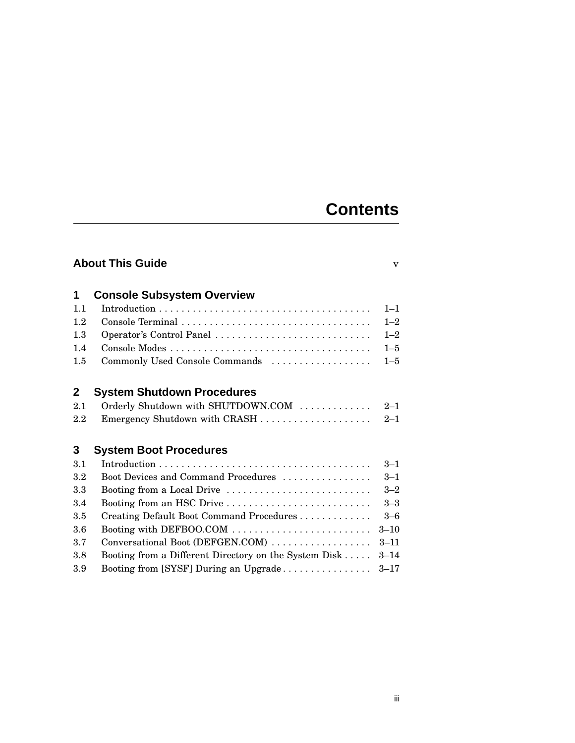# **Contents**

| <b>About This Guide</b><br>$\overline{\mathbf{V}}$ |                                                       |          |  |
|----------------------------------------------------|-------------------------------------------------------|----------|--|
| 1                                                  | <b>Console Subsystem Overview</b>                     |          |  |
| 1.1                                                |                                                       | $1 - 1$  |  |
| 1.2                                                |                                                       | $1 - 2$  |  |
| 1.3                                                | Operator's Control Panel                              | $1 - 2$  |  |
| 1.4                                                |                                                       | $1 - 5$  |  |
| 1.5                                                | Commonly Used Console Commands                        | $1 - 5$  |  |
| $\mathbf{2}$                                       | <b>System Shutdown Procedures</b>                     |          |  |
| 2.1                                                | Orderly Shutdown with SHUTDOWN.COM                    | $2 - 1$  |  |
| 2.2                                                | Emergency Shutdown with CRASH                         | $2 - 1$  |  |
| 3                                                  | <b>System Boot Procedures</b>                         |          |  |
| 3.1                                                |                                                       | $3 - 1$  |  |
| 3.2                                                | Boot Devices and Command Procedures                   | $3 - 1$  |  |
| 3.3                                                | Booting from a Local Drive                            | $3 - 2$  |  |
| 3.4                                                | Booting from an HSC Drive                             | $3 - 3$  |  |
| 3.5                                                | Creating Default Boot Command Procedures              | $3 - 6$  |  |
| 3.6                                                | Booting with DEFBOO.COM                               | $3 - 10$ |  |
| 3.7                                                | Conversational Boot (DEFGEN.COM)                      | $3 - 11$ |  |
| 3.8                                                | Booting from a Different Directory on the System Disk | $3 - 14$ |  |
| 3.9                                                | Booting from [SYSF] During an Upgrade                 | $3 - 17$ |  |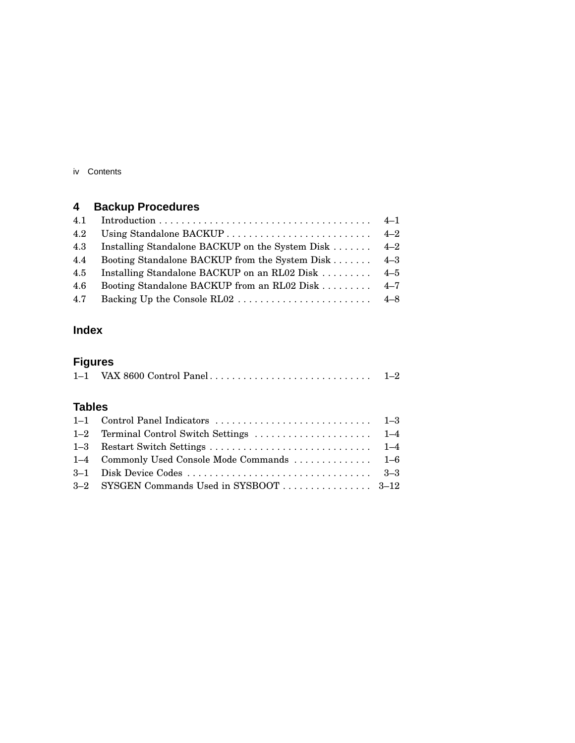iv Contents

## **4 Backup Procedures**

| 4.2 |                                                      |  |
|-----|------------------------------------------------------|--|
| 4.3 | Installing Standalone BACKUP on the System Disk  4-2 |  |
| 4.4 | Booting Standalone BACKUP from the System Disk 4–3   |  |
| 4.5 | Installing Standalone BACKUP on an RL02 Disk  4–5    |  |
| 4.6 | Booting Standalone BACKUP from an RL02 Disk  4-7     |  |
| 4.7 |                                                      |  |
|     |                                                      |  |

## **Index**

## **Figures**

|  | $1 - 2$ |
|--|---------|
|--|---------|

## **Tables**

| 1–4 Commonly Used Console Mode Commands  1–6 |  |
|----------------------------------------------|--|
|                                              |  |
|                                              |  |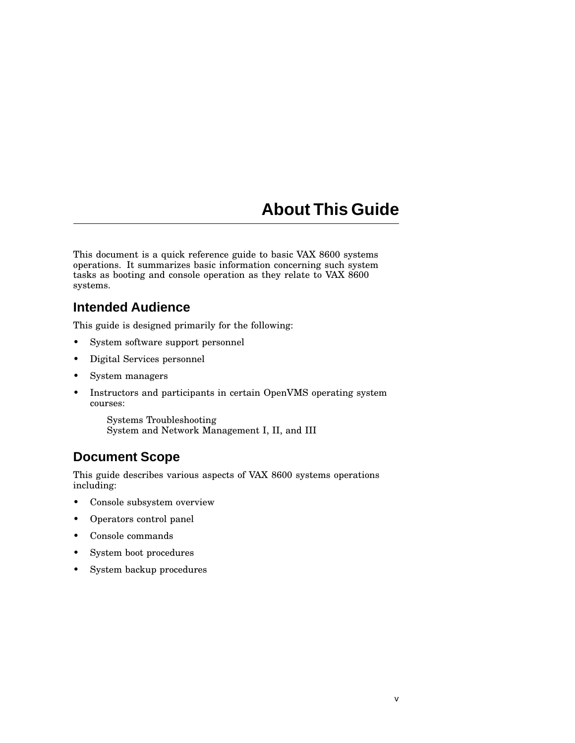# **About This Guide**

This document is a quick reference guide to basic VAX 8600 systems operations. It summarizes basic information concerning such system tasks as booting and console operation as they relate to VAX 8600 systems.

### **Intended Audience**

This guide is designed primarily for the following:

- System software support personnel
- Digital Services personnel
- System managers
- Instructors and participants in certain OpenVMS operating system courses:

Systems Troubleshooting System and Network Management I, II, and III

## **Document Scope**

This guide describes various aspects of VAX 8600 systems operations including:

- Console subsystem overview
- Operators control panel
- Console commands
- System boot procedures
- System backup procedures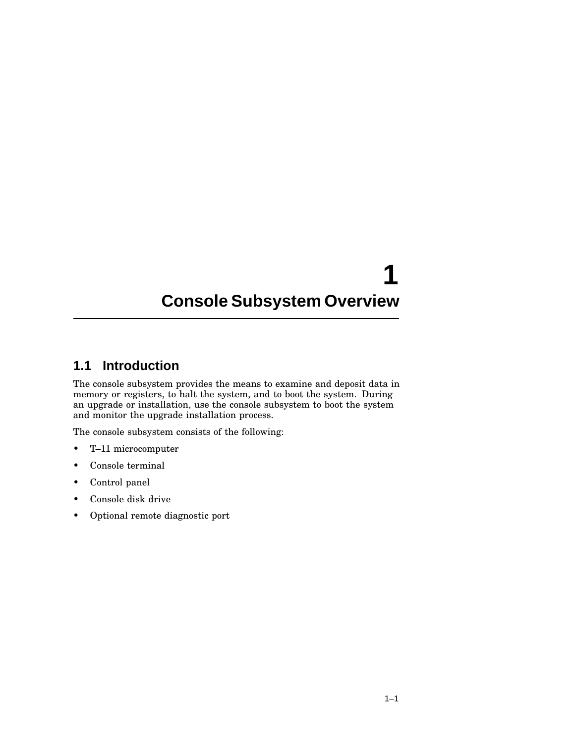# **1 Console Subsystem Overview**

## **1.1 Introduction**

The console subsystem provides the means to examine and deposit data in memory or registers, to halt the system, and to boot the system. During an upgrade or installation, use the console subsystem to boot the system and monitor the upgrade installation process.

The console subsystem consists of the following:

- T–11 microcomputer
- Console terminal
- Control panel
- Console disk drive
- Optional remote diagnostic port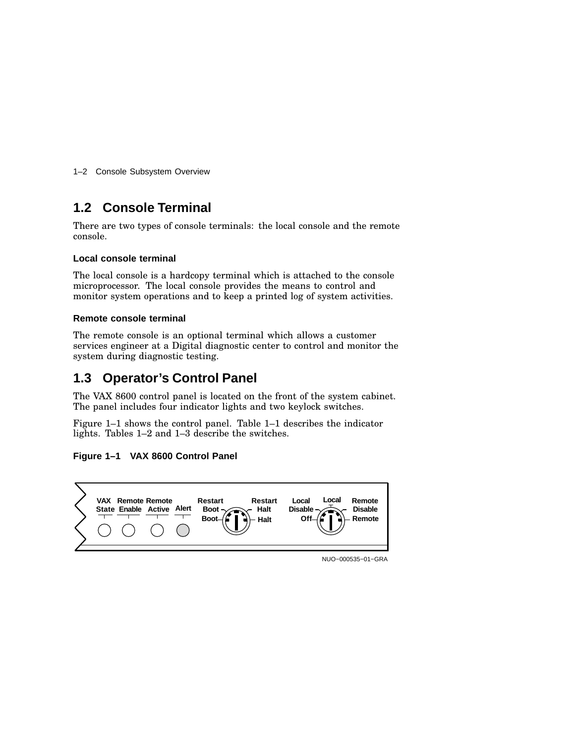1–2 Console Subsystem Overview

## **1.2 Console Terminal**

There are two types of console terminals: the local console and the remote console.

#### **Local console terminal**

The local console is a hardcopy terminal which is attached to the console microprocessor. The local console provides the means to control and monitor system operations and to keep a printed log of system activities.

#### **Remote console terminal**

The remote console is an optional terminal which allows a customer services engineer at a Digital diagnostic center to control and monitor the system during diagnostic testing.

## **1.3 Operator's Control Panel**

The VAX 8600 control panel is located on the front of the system cabinet. The panel includes four indicator lights and two keylock switches.

Figure 1–1 shows the control panel. Table 1–1 describes the indicator lights. Tables 1–2 and 1–3 describe the switches.

#### **Figure 1–1 VAX 8600 Control Panel**



NUO−000535−01−GRA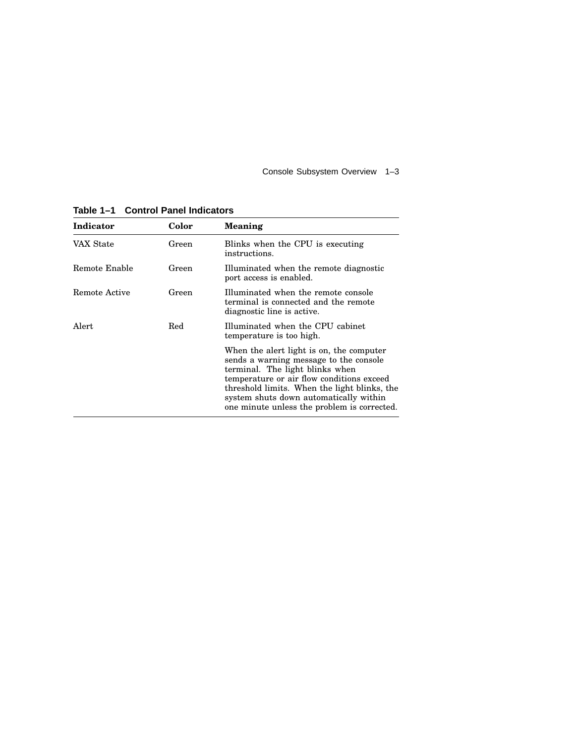Console Subsystem Overview 1–3

| Indicator     | Color | <b>Meaning</b>                                                                                                                                                                                                                                                                                              |
|---------------|-------|-------------------------------------------------------------------------------------------------------------------------------------------------------------------------------------------------------------------------------------------------------------------------------------------------------------|
| VAX State     | Green | Blinks when the CPU is executing<br>instructions.                                                                                                                                                                                                                                                           |
| Remote Enable | Green | Illuminated when the remote diagnostic<br>port access is enabled.                                                                                                                                                                                                                                           |
| Remote Active | Green | Illuminated when the remote console<br>terminal is connected and the remote<br>diagnostic line is active.                                                                                                                                                                                                   |
| Alert         | Red   | Illuminated when the CPU cabinet<br>temperature is too high.                                                                                                                                                                                                                                                |
|               |       | When the alert light is on, the computer<br>sends a warning message to the console<br>terminal. The light blinks when<br>temperature or air flow conditions exceed<br>threshold limits. When the light blinks, the<br>system shuts down automatically within<br>one minute unless the problem is corrected. |

**Table 1–1 Control Panel Indicators**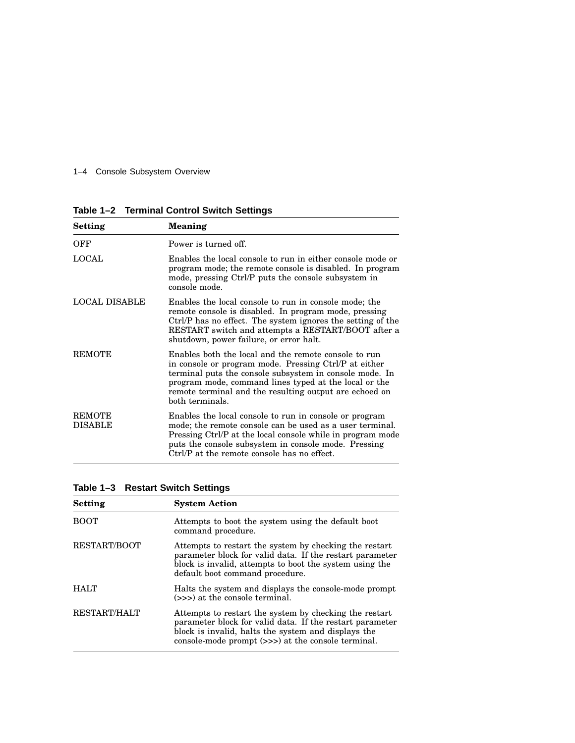1–4 Console Subsystem Overview

**Table 1–2 Terminal Control Switch Settings**

| Setting                         | <b>Meaning</b>                                                                                                                                                                                                                                                                                                 |
|---------------------------------|----------------------------------------------------------------------------------------------------------------------------------------------------------------------------------------------------------------------------------------------------------------------------------------------------------------|
| OFF                             | Power is turned off.                                                                                                                                                                                                                                                                                           |
| LOCAL                           | Enables the local console to run in either console mode or<br>program mode; the remote console is disabled. In program<br>mode, pressing Ctrl/P puts the console subsystem in<br>console mode.                                                                                                                 |
| <b>LOCAL DISABLE</b>            | Enables the local console to run in console mode; the<br>remote console is disabled. In program mode, pressing<br>Ctrl/P has no effect. The system ignores the setting of the<br>RESTART switch and attempts a RESTART/BOOT after a<br>shutdown, power failure, or error halt.                                 |
| <b>REMOTE</b>                   | Enables both the local and the remote console to run<br>in console or program mode. Pressing Ctrl/P at either<br>terminal puts the console subsystem in console mode. In<br>program mode, command lines typed at the local or the<br>remote terminal and the resulting output are echoed on<br>both terminals. |
| <b>REMOTE</b><br><b>DISABLE</b> | Enables the local console to run in console or program<br>mode; the remote console can be used as a user terminal.<br>Pressing Ctrl/P at the local console while in program mode<br>puts the console subsystem in console mode. Pressing<br>Ctrl/P at the remote console has no effect.                        |

| Table 1-3 Restart Switch Settings |  |  |  |
|-----------------------------------|--|--|--|
|-----------------------------------|--|--|--|

| <b>Setting</b>      | <b>System Action</b>                                                                                                                                                                                                            |
|---------------------|---------------------------------------------------------------------------------------------------------------------------------------------------------------------------------------------------------------------------------|
| <b>BOOT</b>         | Attempts to boot the system using the default boot<br>command procedure.                                                                                                                                                        |
| <b>RESTART/BOOT</b> | Attempts to restart the system by checking the restart<br>parameter block for valid data. If the restart parameter<br>block is invalid, attempts to boot the system using the<br>default boot command procedure.                |
| <b>HALT</b>         | Halts the system and displays the console-mode prompt<br>(>>>) at the console terminal.                                                                                                                                         |
| <b>RESTART/HALT</b> | Attempts to restart the system by checking the restart<br>parameter block for valid data. If the restart parameter<br>block is invalid, halts the system and displays the<br>console-mode prompt (>>>) at the console terminal. |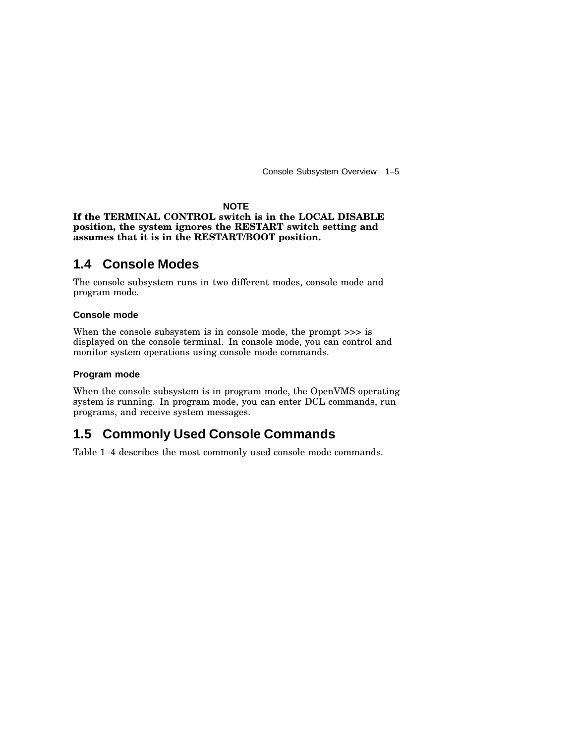Console Subsystem Overview 1–5

#### **NOTE**

#### **If the TERMINAL CONTROL switch is in the LOCAL DISABLE position, the system ignores the RESTART switch setting and assumes that it is in the RESTART/BOOT position.**

#### **1.4 Console Modes**

The console subsystem runs in two different modes, console mode and program mode.

#### **Console mode**

When the console subsystem is in console mode, the prompt  $\gg$  is displayed on the console terminal. In console mode, you can control and monitor system operations using console mode commands.

#### **Program mode**

When the console subsystem is in program mode, the OpenVMS operating system is running. In program mode, you can enter DCL commands, run programs, and receive system messages.

#### **1.5 Commonly Used Console Commands**

Table 1–4 describes the most commonly used console mode commands.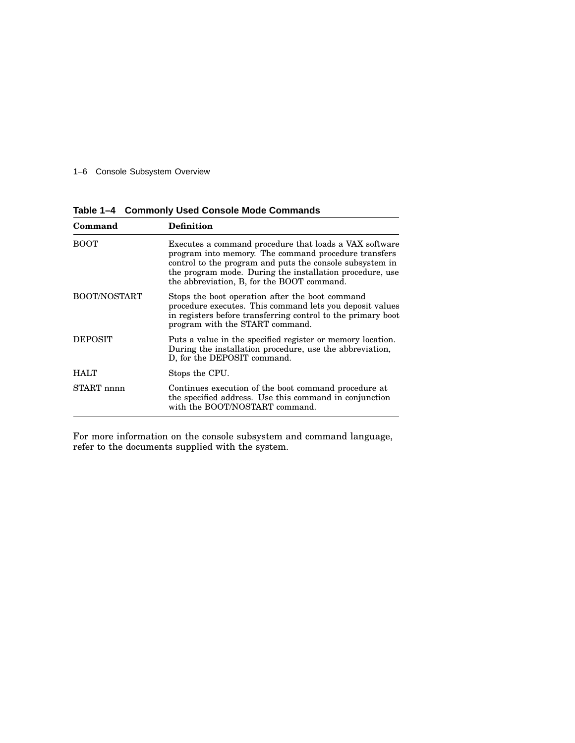#### 1–6 Console Subsystem Overview

**Table 1–4 Commonly Used Console Mode Commands**

| Command             | Definition                                                                                                                                                                                                                                                                           |
|---------------------|--------------------------------------------------------------------------------------------------------------------------------------------------------------------------------------------------------------------------------------------------------------------------------------|
| <b>BOOT</b>         | Executes a command procedure that loads a VAX software<br>program into memory. The command procedure transfers<br>control to the program and puts the console subsystem in<br>the program mode. During the installation procedure, use<br>the abbreviation, B, for the BOOT command. |
| <b>BOOT/NOSTART</b> | Stops the boot operation after the boot command<br>procedure executes. This command lets you deposit values<br>in registers before transferring control to the primary boot<br>program with the START command.                                                                       |
| <b>DEPOSIT</b>      | Puts a value in the specified register or memory location.<br>During the installation procedure, use the abbreviation,<br>D, for the DEPOSIT command.                                                                                                                                |
| <b>HALT</b>         | Stops the CPU.                                                                                                                                                                                                                                                                       |
| START nnnn          | Continues execution of the boot command procedure at<br>the specified address. Use this command in conjunction<br>with the BOOT/NOSTART command.                                                                                                                                     |

For more information on the console subsystem and command language, refer to the documents supplied with the system.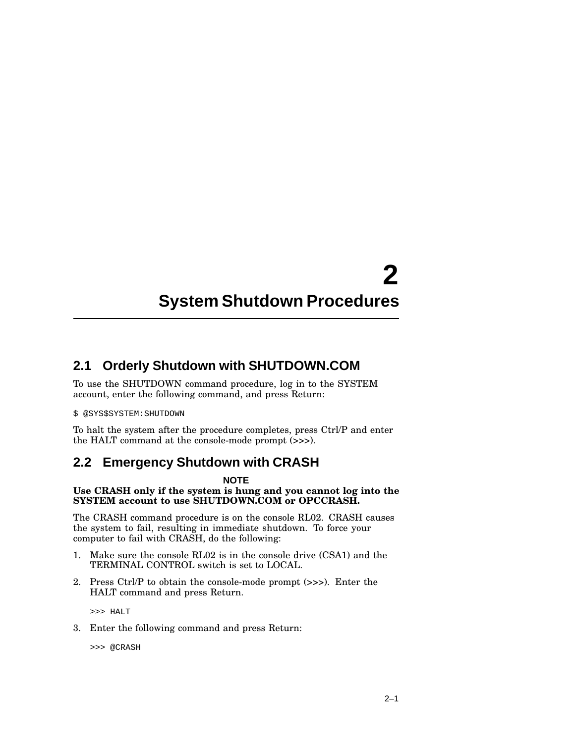# **2 System Shutdown Procedures**

## **2.1 Orderly Shutdown with SHUTDOWN.COM**

To use the SHUTDOWN command procedure, log in to the SYSTEM account, enter the following command, and press Return:

#### \$ @SYS\$SYSTEM:SHUTDOWN

To halt the system after the procedure completes, press Ctrl/P and enter the HALT command at the console-mode prompt (>>>).

#### **2.2 Emergency Shutdown with CRASH**

#### **NOTE**

#### **Use CRASH only if the system is hung and you cannot log into the SYSTEM account to use SHUTDOWN.COM or OPCCRASH.**

The CRASH command procedure is on the console RL02. CRASH causes the system to fail, resulting in immediate shutdown. To force your computer to fail with CRASH, do the following:

- 1. Make sure the console RL02 is in the console drive (CSA1) and the TERMINAL CONTROL switch is set to LOCAL.
- 2. Press Ctrl/P to obtain the console-mode prompt (>>>). Enter the HALT command and press Return.

>>> HALT

3. Enter the following command and press Return:

>>> @CRASH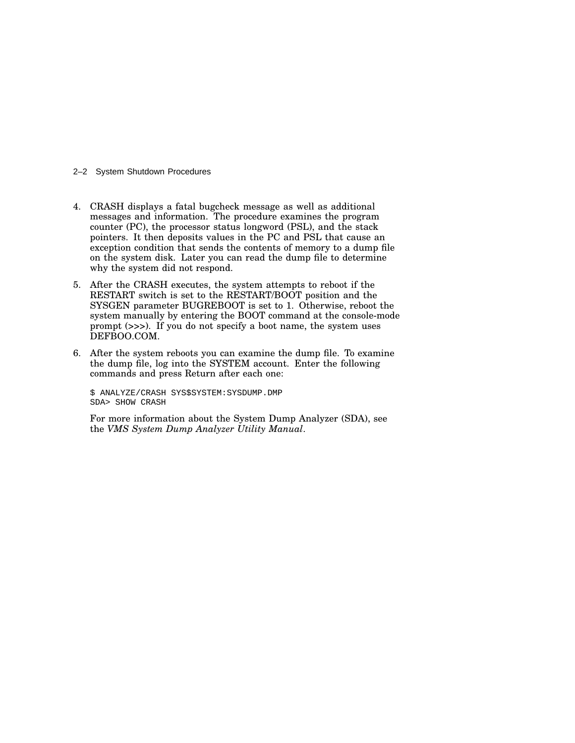#### 2–2 System Shutdown Procedures

- 4. CRASH displays a fatal bugcheck message as well as additional messages and information. The procedure examines the program counter (PC), the processor status longword (PSL), and the stack pointers. It then deposits values in the PC and PSL that cause an exception condition that sends the contents of memory to a dump file on the system disk. Later you can read the dump file to determine why the system did not respond.
- 5. After the CRASH executes, the system attempts to reboot if the RESTART switch is set to the RESTART/BOOT position and the SYSGEN parameter BUGREBOOT is set to 1. Otherwise, reboot the system manually by entering the BOOT command at the console-mode prompt (>>>). If you do not specify a boot name, the system uses DEFBOO.COM.
- 6. After the system reboots you can examine the dump file. To examine the dump file, log into the SYSTEM account. Enter the following commands and press Return after each one:

\$ ANALYZE/CRASH SYS\$SYSTEM:SYSDUMP.DMP SDA> SHOW CRASH

For more information about the System Dump Analyzer (SDA), see the *VMS System Dump Analyzer Utility Manual*.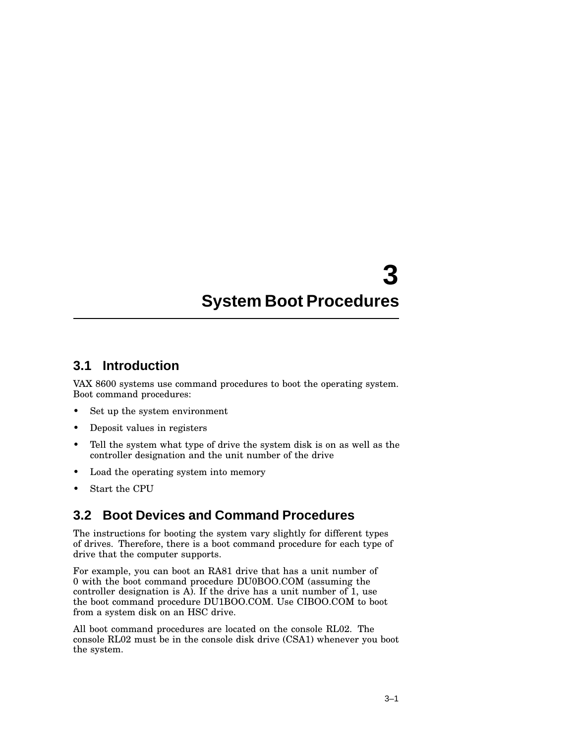#### **3.1 Introduction**

VAX 8600 systems use command procedures to boot the operating system. Boot command procedures:

- Set up the system environment
- Deposit values in registers
- Tell the system what type of drive the system disk is on as well as the controller designation and the unit number of the drive
- Load the operating system into memory
- Start the CPU

## **3.2 Boot Devices and Command Procedures**

The instructions for booting the system vary slightly for different types of drives. Therefore, there is a boot command procedure for each type of drive that the computer supports.

For example, you can boot an RA81 drive that has a unit number of 0 with the boot command procedure DU0BOO.COM (assuming the controller designation is A). If the drive has a unit number of 1, use the boot command procedure DU1BOO.COM. Use CIBOO.COM to boot from a system disk on an HSC drive.

All boot command procedures are located on the console RL02. The console RL02 must be in the console disk drive (CSA1) whenever you boot the system.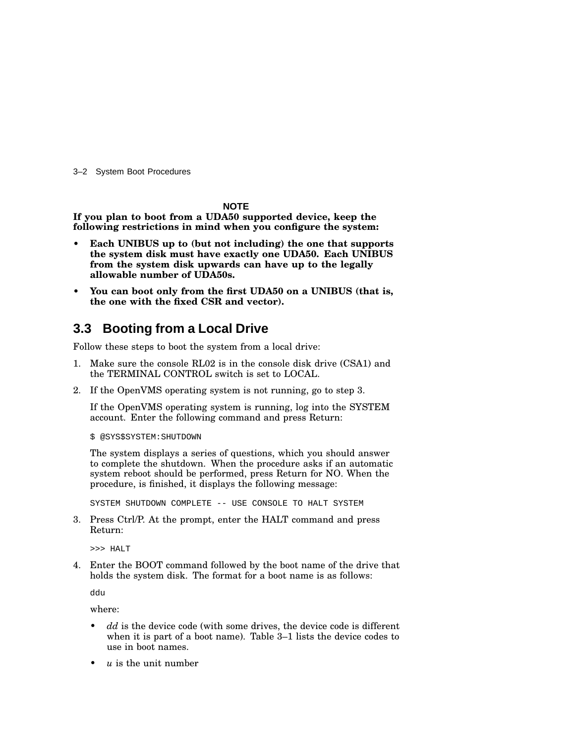3–2 System Boot Procedures

**NOTE**

**If you plan to boot from a UDA50 supported device, keep the following restrictions in mind when you configure the system:**

- **• Each UNIBUS up to (but not including) the one that supports the system disk must have exactly one UDA50. Each UNIBUS from the system disk upwards can have up to the legally allowable number of UDA50s.**
- **• You can boot only from the first UDA50 on a UNIBUS (that is, the one with the fixed CSR and vector).**

#### **3.3 Booting from a Local Drive**

Follow these steps to boot the system from a local drive:

- 1. Make sure the console RL02 is in the console disk drive (CSA1) and the TERMINAL CONTROL switch is set to LOCAL.
- 2. If the OpenVMS operating system is not running, go to step 3.

If the OpenVMS operating system is running, log into the SYSTEM account. Enter the following command and press Return:

\$ @SYS\$SYSTEM:SHUTDOWN

The system displays a series of questions, which you should answer to complete the shutdown. When the procedure asks if an automatic system reboot should be performed, press Return for NO. When the procedure, is finished, it displays the following message:

SYSTEM SHUTDOWN COMPLETE -- USE CONSOLE TO HALT SYSTEM

3. Press Ctrl/P. At the prompt, enter the HALT command and press Return:

>>> HALT

4. Enter the BOOT command followed by the boot name of the drive that holds the system disk. The format for a boot name is as follows:

ddu

where:

- dd is the device code (with some drives, the device code is different when it is part of a boot name). Table 3–1 lists the device codes to use in boot names.
- *u* is the unit number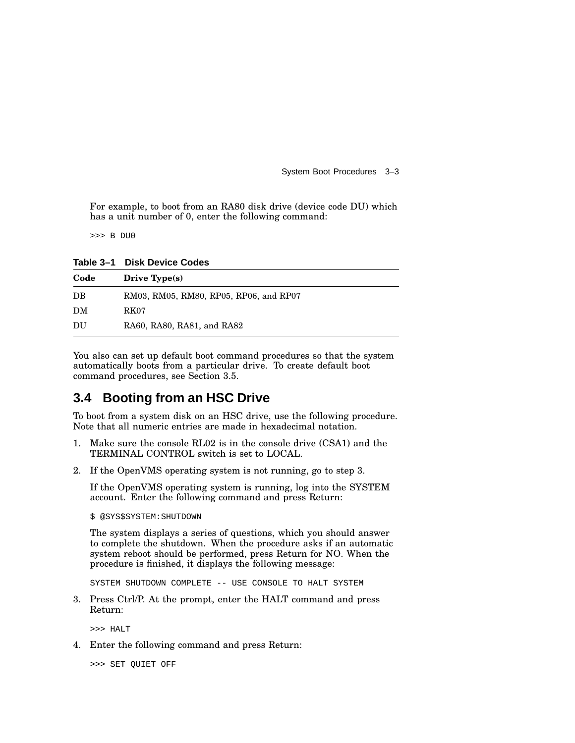For example, to boot from an RA80 disk drive (device code DU) which has a unit number of 0, enter the following command:

>>> B DU0

**Table 3–1 Disk Device Codes**

| Code | Drive $Type(s)$                        |
|------|----------------------------------------|
| DB   | RM03, RM05, RM80, RP05, RP06, and RP07 |
| DM   | RK07                                   |
| DU   | RA60, RA80, RA81, and RA82             |

You also can set up default boot command procedures so that the system automatically boots from a particular drive. To create default boot command procedures, see Section 3.5.

## **3.4 Booting from an HSC Drive**

To boot from a system disk on an HSC drive, use the following procedure. Note that all numeric entries are made in hexadecimal notation.

- 1. Make sure the console RL02 is in the console drive (CSA1) and the TERMINAL CONTROL switch is set to LOCAL.
- 2. If the OpenVMS operating system is not running, go to step 3.

If the OpenVMS operating system is running, log into the SYSTEM account. Enter the following command and press Return:

\$ @SYS\$SYSTEM:SHUTDOWN

The system displays a series of questions, which you should answer to complete the shutdown. When the procedure asks if an automatic system reboot should be performed, press Return for NO. When the procedure is finished, it displays the following message:

SYSTEM SHUTDOWN COMPLETE -- USE CONSOLE TO HALT SYSTEM

3. Press Ctrl/P. At the prompt, enter the HALT command and press Return:

>>> HALT

4. Enter the following command and press Return:

>>> SET QUIET OFF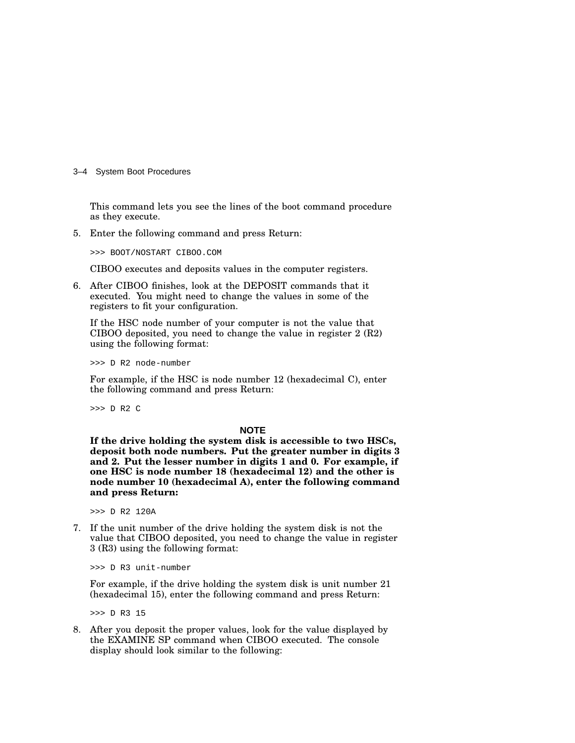3–4 System Boot Procedures

This command lets you see the lines of the boot command procedure as they execute.

5. Enter the following command and press Return:

>>> BOOT/NOSTART CIBOO.COM

CIBOO executes and deposits values in the computer registers.

6. After CIBOO finishes, look at the DEPOSIT commands that it executed. You might need to change the values in some of the registers to fit your configuration.

If the HSC node number of your computer is not the value that CIBOO deposited, you need to change the value in register 2 (R2) using the following format:

>>> D R2 node-number

For example, if the HSC is node number 12 (hexadecimal C), enter the following command and press Return:

>>> D R2 C

#### **NOTE**

**If the drive holding the system disk is accessible to two HSCs, deposit both node numbers. Put the greater number in digits 3 and 2. Put the lesser number in digits 1 and 0. For example, if one HSC is node number 18 (hexadecimal 12) and the other is node number 10 (hexadecimal A), enter the following command and press Return:**

>>> D R2 120A

7. If the unit number of the drive holding the system disk is not the value that CIBOO deposited, you need to change the value in register 3 (R3) using the following format:

>>> D R3 unit-number

For example, if the drive holding the system disk is unit number 21 (hexadecimal 15), enter the following command and press Return:

>>> D R3 15

8. After you deposit the proper values, look for the value displayed by the EXAMINE SP command when CIBOO executed. The console display should look similar to the following: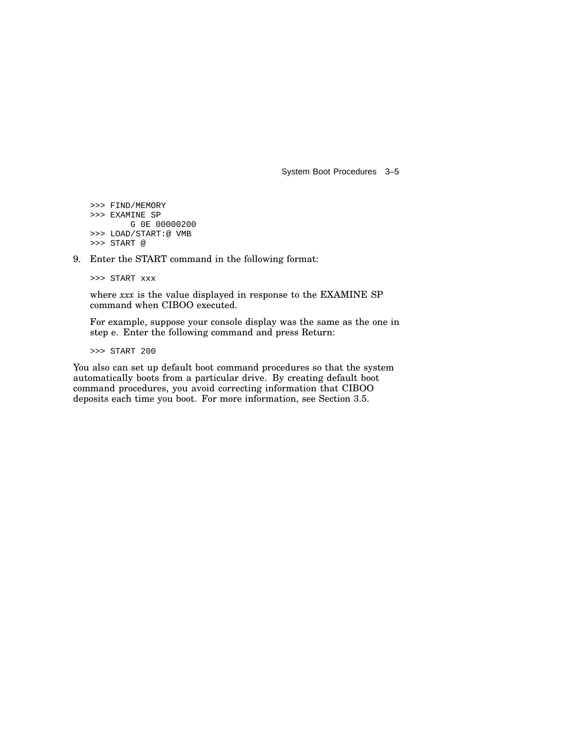```
>>> FIND/MEMORY
>>> EXAMINE SP
       G 0E 00000200
>>> LOAD/START:@ VMB
>>> START @
```
9. Enter the START command in the following format:

>>> START xxx

where *xxx* is the value displayed in response to the EXAMINE SP command when CIBOO executed.

For example, suppose your console display was the same as the one in step e. Enter the following command and press Return:

>>> START 200

You also can set up default boot command procedures so that the system automatically boots from a particular drive. By creating default boot command procedures, you avoid correcting information that CIBOO deposits each time you boot. For more information, see Section 3.5.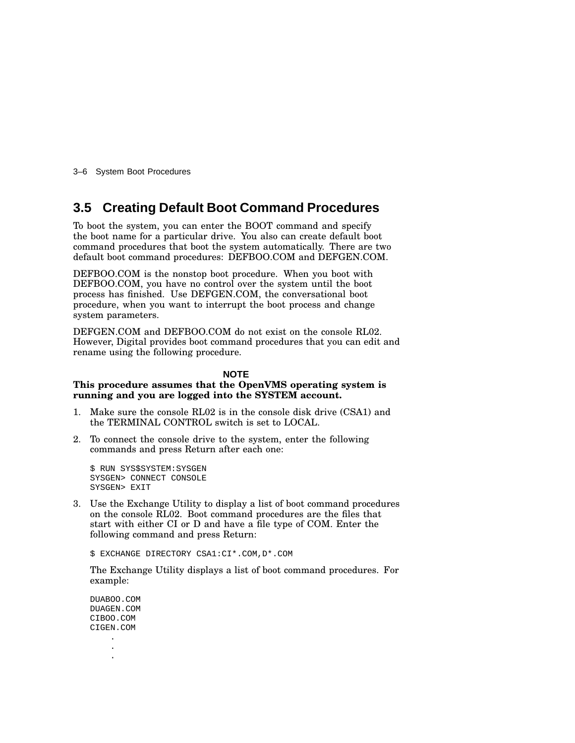3–6 System Boot Procedures

#### **3.5 Creating Default Boot Command Procedures**

To boot the system, you can enter the BOOT command and specify the boot name for a particular drive. You also can create default boot command procedures that boot the system automatically. There are two default boot command procedures: DEFBOO.COM and DEFGEN.COM.

DEFBOO.COM is the nonstop boot procedure. When you boot with DEFBOO.COM, you have no control over the system until the boot process has finished. Use DEFGEN.COM, the conversational boot procedure, when you want to interrupt the boot process and change system parameters.

DEFGEN.COM and DEFBOO.COM do not exist on the console RL02. However, Digital provides boot command procedures that you can edit and rename using the following procedure.

#### **NOTE**

#### **This procedure assumes that the OpenVMS operating system is running and you are logged into the SYSTEM account.**

- 1. Make sure the console RL02 is in the console disk drive (CSA1) and the TERMINAL CONTROL switch is set to LOCAL.
- 2. To connect the console drive to the system, enter the following commands and press Return after each one:

\$ RUN SYS\$SYSTEM:SYSGEN SYSGEN> CONNECT CONSOLE SYSGEN> EXIT

3. Use the Exchange Utility to display a list of boot command procedures on the console RL02. Boot command procedures are the files that start with either CI or D and have a file type of COM. Enter the following command and press Return:

\$ EXCHANGE DIRECTORY CSA1:CI\*.COM,D\*.COM

The Exchange Utility displays a list of boot command procedures. For example:

DUABOO.COM DUAGEN.COM CIBOO.COM CIGEN.COM . .

.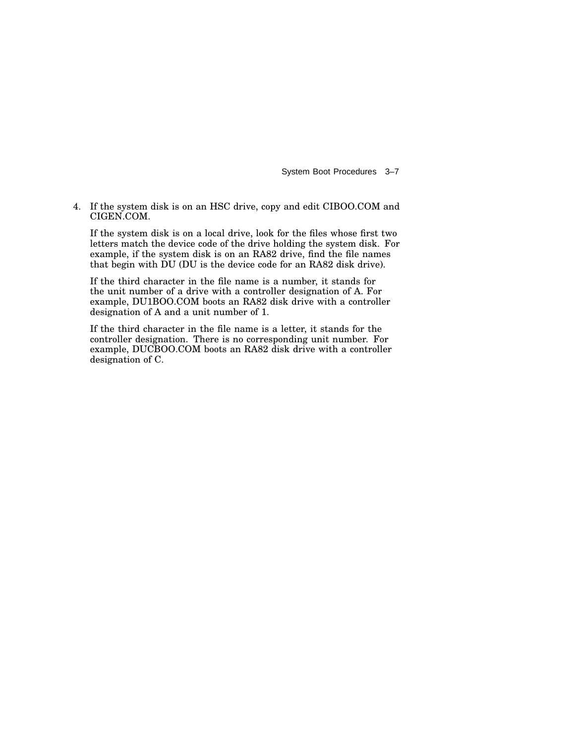4. If the system disk is on an HSC drive, copy and edit CIBOO.COM and CIGEN.COM.

If the system disk is on a local drive, look for the files whose first two letters match the device code of the drive holding the system disk. For example, if the system disk is on an RA82 drive, find the file names that begin with DU (DU is the device code for an RA82 disk drive).

If the third character in the file name is a number, it stands for the unit number of a drive with a controller designation of A. For example, DU1BOO.COM boots an RA82 disk drive with a controller designation of A and a unit number of 1.

If the third character in the file name is a letter, it stands for the controller designation. There is no corresponding unit number. For example, DUCBOO.COM boots an RA82 disk drive with a controller designation of C.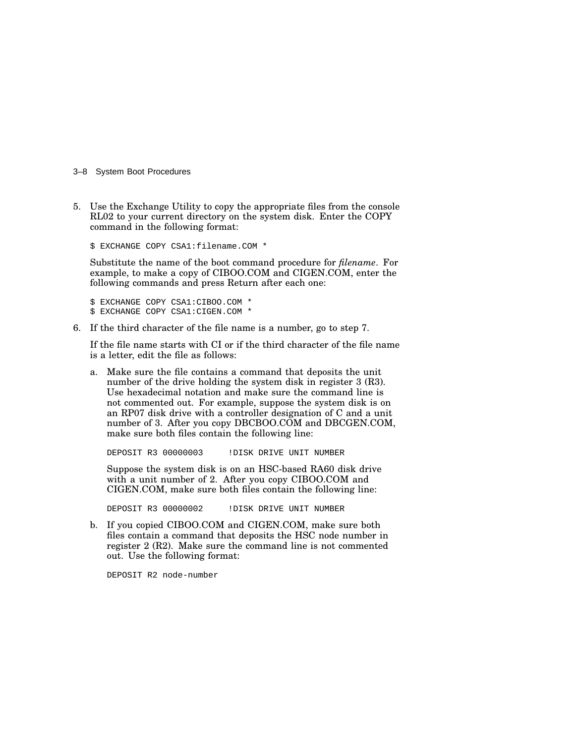3–8 System Boot Procedures

5. Use the Exchange Utility to copy the appropriate files from the console RL02 to your current directory on the system disk. Enter the COPY command in the following format:

\$ EXCHANGE COPY CSA1:filename.COM \*

Substitute the name of the boot command procedure for *filename*. For example, to make a copy of CIBOO.COM and CIGEN.COM, enter the following commands and press Return after each one:

\$ EXCHANGE COPY CSA1:CIBOO.COM \* \$ EXCHANGE COPY CSA1:CIGEN.COM \*

6. If the third character of the file name is a number, go to step 7.

If the file name starts with CI or if the third character of the file name is a letter, edit the file as follows:

a. Make sure the file contains a command that deposits the unit number of the drive holding the system disk in register 3 (R3). Use hexadecimal notation and make sure the command line is not commented out. For example, suppose the system disk is on an RP07 disk drive with a controller designation of C and a unit number of 3. After you copy DBCBOO.COM and DBCGEN.COM, make sure both files contain the following line:

DEPOSIT R3 00000003 !DISK DRIVE UNIT NUMBER

Suppose the system disk is on an HSC-based RA60 disk drive with a unit number of 2. After you copy CIBOO.COM and CIGEN.COM, make sure both files contain the following line:

DEPOSIT R3 00000002 !DISK DRIVE UNIT NUMBER

b. If you copied CIBOO.COM and CIGEN.COM, make sure both files contain a command that deposits the HSC node number in register 2 (R2). Make sure the command line is not commented out. Use the following format:

DEPOSIT R2 node-number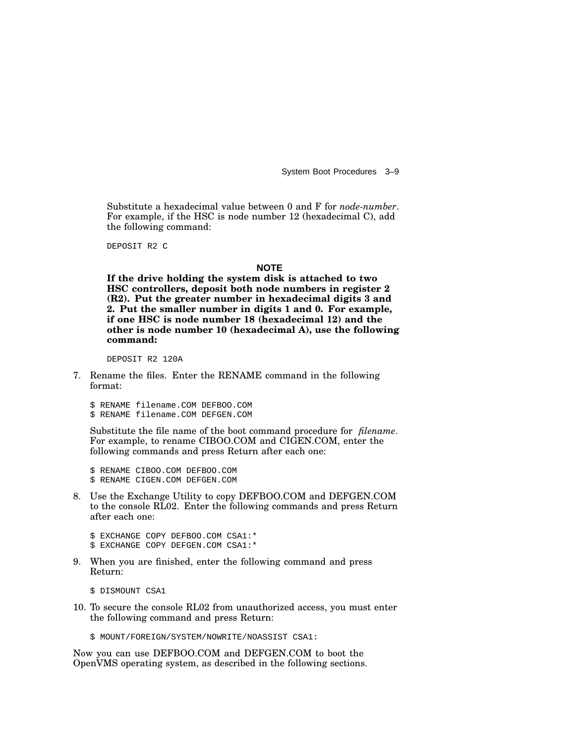Substitute a hexadecimal value between 0 and F for *node-number*. For example, if the HSC is node number 12 (hexadecimal C), add the following command:

DEPOSIT R2 C

#### **NOTE**

**If the drive holding the system disk is attached to two HSC controllers, deposit both node numbers in register 2 (R2). Put the greater number in hexadecimal digits 3 and 2. Put the smaller number in digits 1 and 0. For example, if one HSC is node number 18 (hexadecimal 12) and the other is node number 10 (hexadecimal A), use the following command:**

DEPOSIT R2 120A

7. Rename the files. Enter the RENAME command in the following format:

\$ RENAME filename.COM DEFBOO.COM \$ RENAME filename.COM DEFGEN.COM

Substitute the file name of the boot command procedure for *filename*. For example, to rename CIBOO.COM and CIGEN.COM, enter the following commands and press Return after each one:

\$ RENAME CIBOO.COM DEFBOO.COM \$ RENAME CIGEN.COM DEFGEN.COM

8. Use the Exchange Utility to copy DEFBOO.COM and DEFGEN.COM to the console RL02. Enter the following commands and press Return after each one:

\$ EXCHANGE COPY DEFBOO.COM CSA1:\* \$ EXCHANGE COPY DEFGEN.COM CSA1:\*

9. When you are finished, enter the following command and press Return:

\$ DISMOUNT CSA1

10. To secure the console RL02 from unauthorized access, you must enter the following command and press Return:

\$ MOUNT/FOREIGN/SYSTEM/NOWRITE/NOASSIST CSA1:

Now you can use DEFBOO.COM and DEFGEN.COM to boot the OpenVMS operating system, as described in the following sections.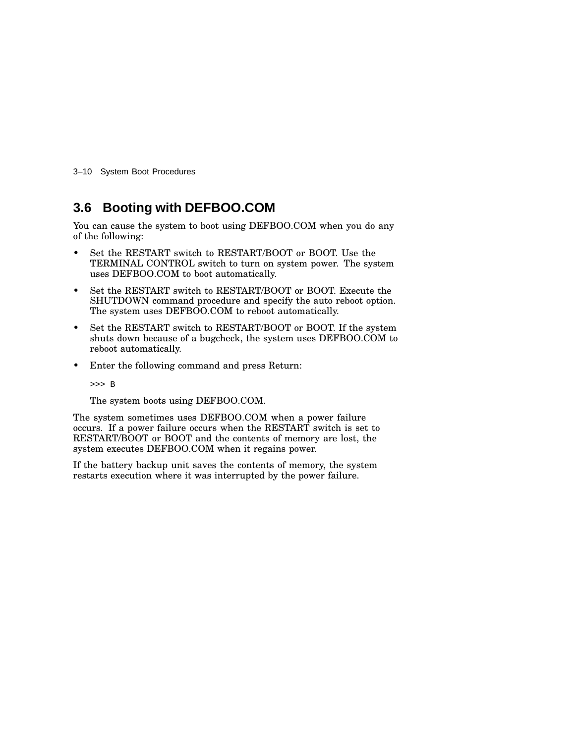3–10 System Boot Procedures

#### **3.6 Booting with DEFBOO.COM**

You can cause the system to boot using DEFBOO.COM when you do any of the following:

- Set the RESTART switch to RESTART/BOOT or BOOT. Use the TERMINAL CONTROL switch to turn on system power. The system uses DEFBOO.COM to boot automatically.
- Set the RESTART switch to RESTART/BOOT or BOOT. Execute the SHUTDOWN command procedure and specify the auto reboot option. The system uses DEFBOO.COM to reboot automatically.
- Set the RESTART switch to RESTART/BOOT or BOOT. If the system shuts down because of a bugcheck, the system uses DEFBOO.COM to reboot automatically.
- Enter the following command and press Return:

>>> B

The system boots using DEFBOO.COM.

The system sometimes uses DEFBOO.COM when a power failure occurs. If a power failure occurs when the RESTART switch is set to RESTART/BOOT or BOOT and the contents of memory are lost, the system executes DEFBOO.COM when it regains power.

If the battery backup unit saves the contents of memory, the system restarts execution where it was interrupted by the power failure.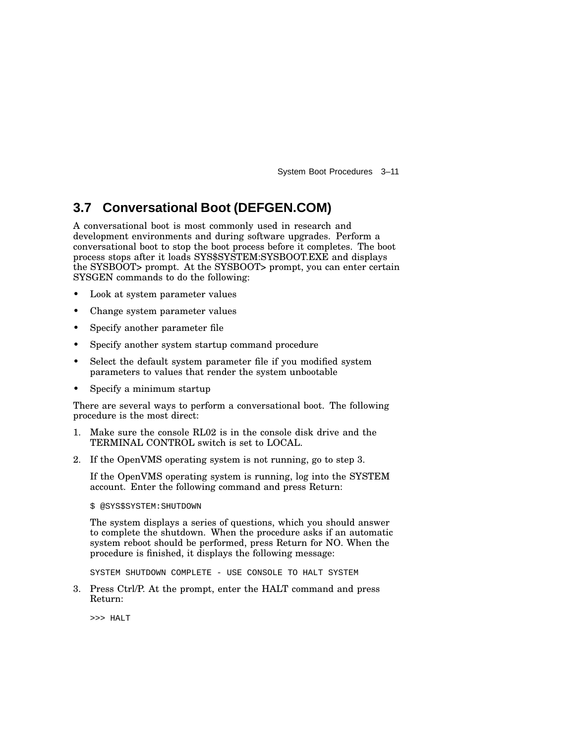### **3.7 Conversational Boot (DEFGEN.COM)**

A conversational boot is most commonly used in research and development environments and during software upgrades. Perform a conversational boot to stop the boot process before it completes. The boot process stops after it loads SYS\$SYSTEM:SYSBOOT.EXE and displays the SYSBOOT> prompt. At the SYSBOOT> prompt, you can enter certain SYSGEN commands to do the following:

- Look at system parameter values
- Change system parameter values
- Specify another parameter file
- Specify another system startup command procedure
- Select the default system parameter file if you modified system parameters to values that render the system unbootable
- Specify a minimum startup

There are several ways to perform a conversational boot. The following procedure is the most direct:

- 1. Make sure the console RL02 is in the console disk drive and the TERMINAL CONTROL switch is set to LOCAL.
- 2. If the OpenVMS operating system is not running, go to step 3.

If the OpenVMS operating system is running, log into the SYSTEM account. Enter the following command and press Return:

\$ @SYS\$SYSTEM:SHUTDOWN

The system displays a series of questions, which you should answer to complete the shutdown. When the procedure asks if an automatic system reboot should be performed, press Return for NO. When the procedure is finished, it displays the following message:

SYSTEM SHUTDOWN COMPLETE - USE CONSOLE TO HALT SYSTEM

3. Press Ctrl/P. At the prompt, enter the HALT command and press Return:

>>> HALT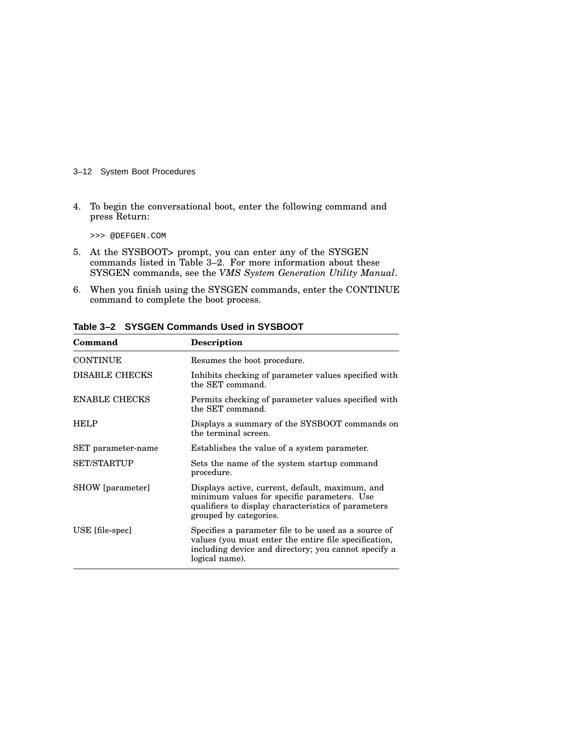#### 3–12 System Boot Procedures

4. To begin the conversational boot, enter the following command and press Return:

>>> @DEFGEN.COM

- 5. At the SYSBOOT> prompt, you can enter any of the SYSGEN commands listed in Table 3–2. For more information about these SYSGEN commands, see the *VMS System Generation Utility Manual*.
- 6. When you finish using the SYSGEN commands, enter the CONTINUE command to complete the boot process.

| Command               | <b>Description</b>                                                                                                                                                                      |
|-----------------------|-----------------------------------------------------------------------------------------------------------------------------------------------------------------------------------------|
| <b>CONTINUE</b>       | Resumes the boot procedure.                                                                                                                                                             |
| <b>DISABLE CHECKS</b> | Inhibits checking of parameter values specified with<br>the SET command.                                                                                                                |
| <b>ENABLE CHECKS</b>  | Permits checking of parameter values specified with<br>the SET command.                                                                                                                 |
| <b>HELP</b>           | Displays a summary of the SYSBOOT commands on<br>the terminal screen.                                                                                                                   |
| SET parameter-name    | Establishes the value of a system parameter.                                                                                                                                            |
| <b>SET/STARTUP</b>    | Sets the name of the system startup command<br>procedure.                                                                                                                               |
| SHOW [parameter]      | Displays active, current, default, maximum, and<br>minimum values for specific parameters. Use<br>qualifiers to display characteristics of parameters<br>grouped by categories.         |
| USE [file-spec]       | Specifies a parameter file to be used as a source of<br>values (you must enter the entire file specification,<br>including device and directory; you cannot specify a<br>logical name). |

**Table 3–2 SYSGEN Commands Used in SYSBOOT**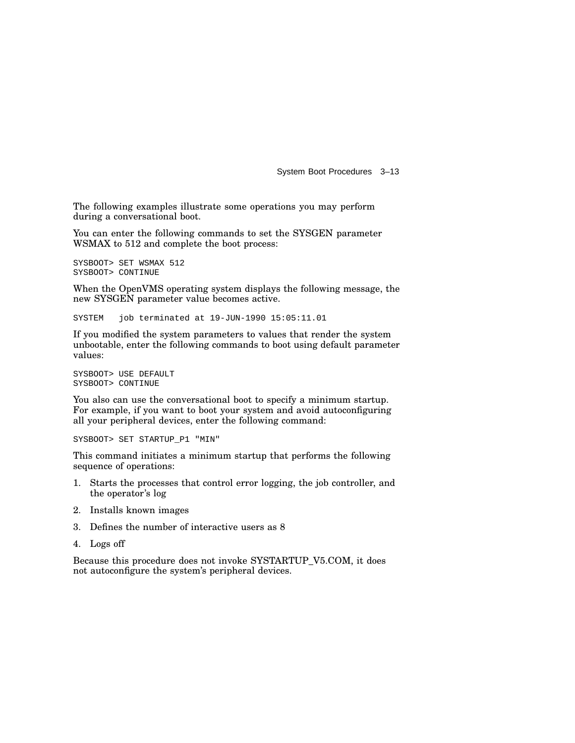The following examples illustrate some operations you may perform during a conversational boot.

You can enter the following commands to set the SYSGEN parameter WSMAX to 512 and complete the boot process:

```
SYSBOOT> SET WSMAX 512
SYSBOOT> CONTINUE
```
When the OpenVMS operating system displays the following message, the new SYSGEN parameter value becomes active.

SYSTEM job terminated at 19-JUN-1990 15:05:11.01

If you modified the system parameters to values that render the system unbootable, enter the following commands to boot using default parameter values:

SYSBOOT> USE DEFAULT SYSBOOT> CONTINUE

You also can use the conversational boot to specify a minimum startup. For example, if you want to boot your system and avoid autoconfiguring all your peripheral devices, enter the following command:

SYSBOOT> SET STARTUP\_P1 "MIN"

This command initiates a minimum startup that performs the following sequence of operations:

- 1. Starts the processes that control error logging, the job controller, and the operator's log
- 2. Installs known images
- 3. Defines the number of interactive users as 8
- 4. Logs off

Because this procedure does not invoke SYSTARTUP\_V5.COM, it does not autoconfigure the system's peripheral devices.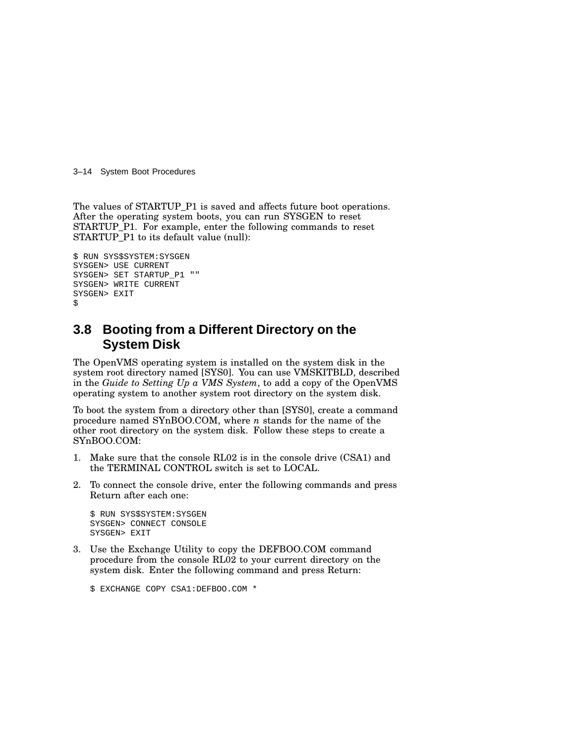3–14 System Boot Procedures

The values of STARTUP\_P1 is saved and affects future boot operations. After the operating system boots, you can run SYSGEN to reset STARTUP\_P1. For example, enter the following commands to reset STARTUP\_P1 to its default value (null):

```
$ RUN SYS$SYSTEM:SYSGEN
SYSGEN> USE CURRENT
SYSGEN> SET STARTUP_P1 ""
SYSGEN> WRITE CURRENT
SYSGEN> EXIT
$
```
## **3.8 Booting from a Different Directory on the System Disk**

The OpenVMS operating system is installed on the system disk in the system root directory named [SYS0]. You can use VMSKITBLD, described in the *Guide to Setting Up a VMS System*, to add a copy of the OpenVMS operating system to another system root directory on the system disk.

To boot the system from a directory other than [SYS0], create a command procedure named SYnBOO.COM, where *n* stands for the name of the other root directory on the system disk. Follow these steps to create a SYnBOO.COM:

- 1. Make sure that the console RL02 is in the console drive (CSA1) and the TERMINAL CONTROL switch is set to LOCAL.
- 2. To connect the console drive, enter the following commands and press Return after each one:

```
$ RUN SYS$SYSTEM:SYSGEN
SYSGEN> CONNECT CONSOLE
SYSGEN> EXIT
```
3. Use the Exchange Utility to copy the DEFBOO.COM command procedure from the console RL02 to your current directory on the system disk. Enter the following command and press Return:

\$ EXCHANGE COPY CSA1:DEFBOO.COM \*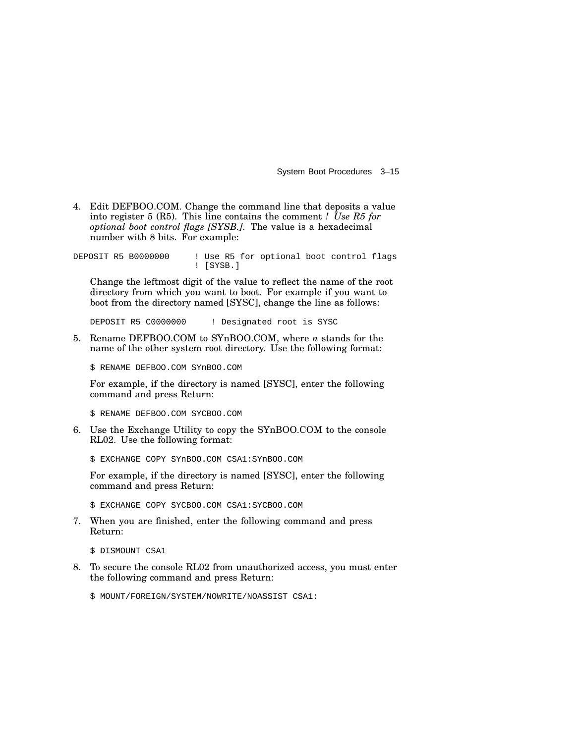4. Edit DEFBOO.COM. Change the command line that deposits a value into register 5 (R5). This line contains the comment *! Use R5 for optional boot control flags [SYSB.]*. The value is a hexadecimal number with 8 bits. For example:

DEPOSIT R5 B0000000 ! Use R5 for optional boot control flags ! [SYSB.]

Change the leftmost digit of the value to reflect the name of the root directory from which you want to boot. For example if you want to boot from the directory named [SYSC], change the line as follows:

DEPOSIT R5 C0000000 ! Designated root is SYSC

5. Rename DEFBOO.COM to SYnBOO.COM, where *n* stands for the name of the other system root directory. Use the following format:

\$ RENAME DEFBOO.COM SYnBOO.COM

For example, if the directory is named [SYSC], enter the following command and press Return:

\$ RENAME DEFBOO.COM SYCBOO.COM

6. Use the Exchange Utility to copy the SYnBOO.COM to the console RL02. Use the following format:

\$ EXCHANGE COPY SYnBOO.COM CSA1:SYnBOO.COM

For example, if the directory is named [SYSC], enter the following command and press Return:

\$ EXCHANGE COPY SYCBOO.COM CSA1:SYCBOO.COM

7. When you are finished, enter the following command and press Return:

\$ DISMOUNT CSA1

8. To secure the console RL02 from unauthorized access, you must enter the following command and press Return:

\$ MOUNT/FOREIGN/SYSTEM/NOWRITE/NOASSIST CSA1: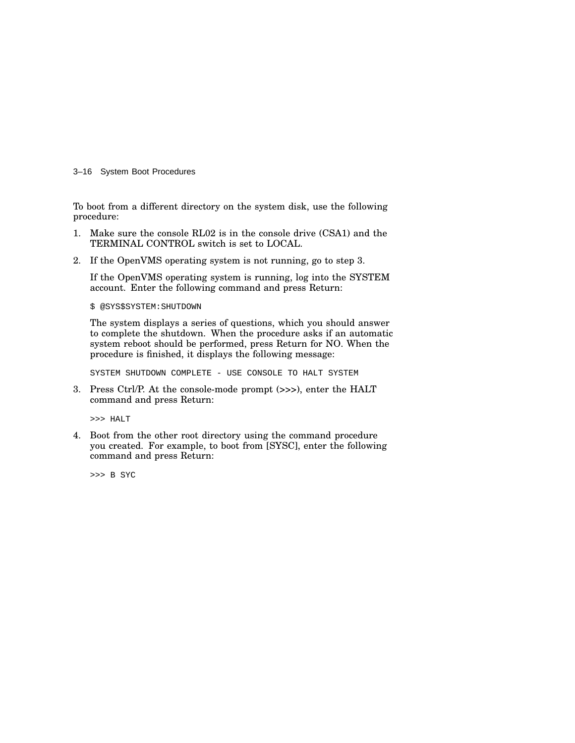3–16 System Boot Procedures

To boot from a different directory on the system disk, use the following procedure:

- 1. Make sure the console RL02 is in the console drive (CSA1) and the TERMINAL CONTROL switch is set to LOCAL.
- 2. If the OpenVMS operating system is not running, go to step 3.

If the OpenVMS operating system is running, log into the SYSTEM account. Enter the following command and press Return:

\$ @SYS\$SYSTEM:SHUTDOWN

The system displays a series of questions, which you should answer to complete the shutdown. When the procedure asks if an automatic system reboot should be performed, press Return for NO. When the procedure is finished, it displays the following message:

SYSTEM SHUTDOWN COMPLETE - USE CONSOLE TO HALT SYSTEM

3. Press Ctrl/P. At the console-mode prompt (>>>), enter the HALT command and press Return:

>>> HALT

4. Boot from the other root directory using the command procedure you created. For example, to boot from [SYSC], enter the following command and press Return:

>>> B SYC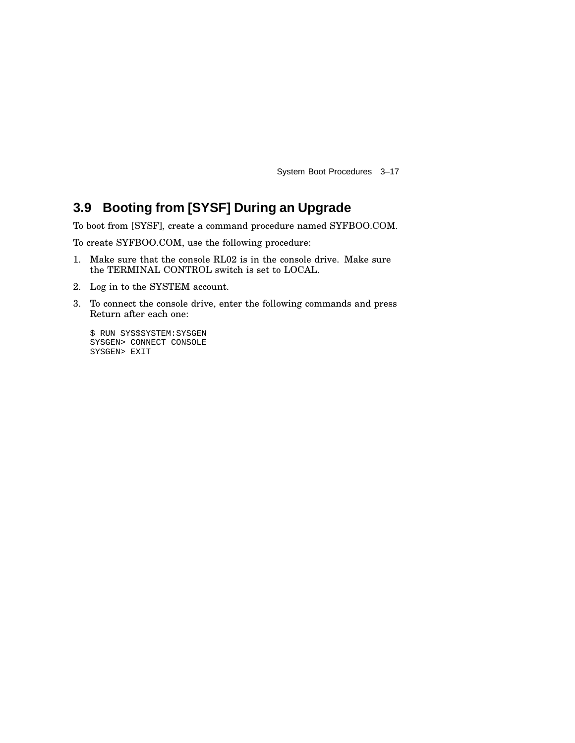## **3.9 Booting from [SYSF] During an Upgrade**

To boot from [SYSF], create a command procedure named SYFBOO.COM.

To create SYFBOO.COM, use the following procedure:

- 1. Make sure that the console RL02 is in the console drive. Make sure the TERMINAL CONTROL switch is set to LOCAL.
- 2. Log in to the SYSTEM account.
- 3. To connect the console drive, enter the following commands and press Return after each one:

\$ RUN SYS\$SYSTEM:SYSGEN SYSGEN> CONNECT CONSOLE SYSGEN> EXIT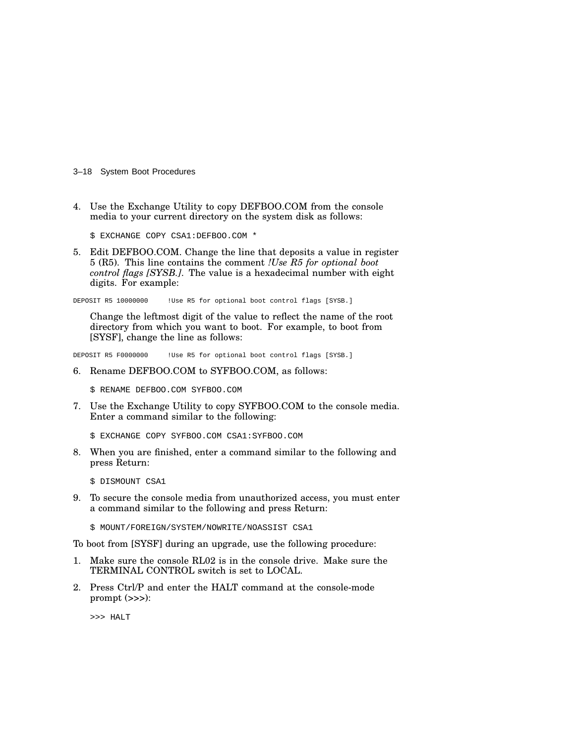3–18 System Boot Procedures

4. Use the Exchange Utility to copy DEFBOO.COM from the console media to your current directory on the system disk as follows:

\$ EXCHANGE COPY CSA1:DEFBOO.COM \*

5. Edit DEFBOO.COM. Change the line that deposits a value in register 5 (R5). This line contains the comment *!Use R5 for optional boot control flags [SYSB.]*. The value is a hexadecimal number with eight digits. For example:

DEPOSIT R5 10000000 !Use R5 for optional boot control flags [SYSB.]

Change the leftmost digit of the value to reflect the name of the root directory from which you want to boot. For example, to boot from [SYSF], change the line as follows:

DEPOSIT R5 F0000000 !Use R5 for optional boot control flags [SYSB.]

6. Rename DEFBOO.COM to SYFBOO.COM, as follows:

\$ RENAME DEFBOO.COM SYFBOO.COM

7. Use the Exchange Utility to copy SYFBOO.COM to the console media. Enter a command similar to the following:

\$ EXCHANGE COPY SYFBOO.COM CSA1:SYFBOO.COM

8. When you are finished, enter a command similar to the following and press Return:

\$ DISMOUNT CSA1

9. To secure the console media from unauthorized access, you must enter a command similar to the following and press Return:

\$ MOUNT/FOREIGN/SYSTEM/NOWRITE/NOASSIST CSA1

To boot from [SYSF] during an upgrade, use the following procedure:

- 1. Make sure the console RL02 is in the console drive. Make sure the TERMINAL CONTROL switch is set to LOCAL.
- 2. Press Ctrl/P and enter the HALT command at the console-mode prompt (>>>):

>>> HALT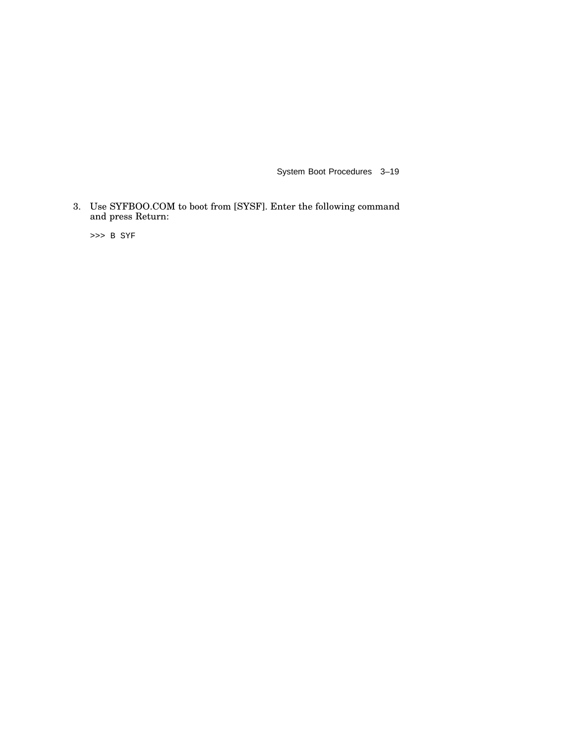3. Use SYFBOO.COM to boot from [SYSF]. Enter the following command and press Return:

>>> B SYF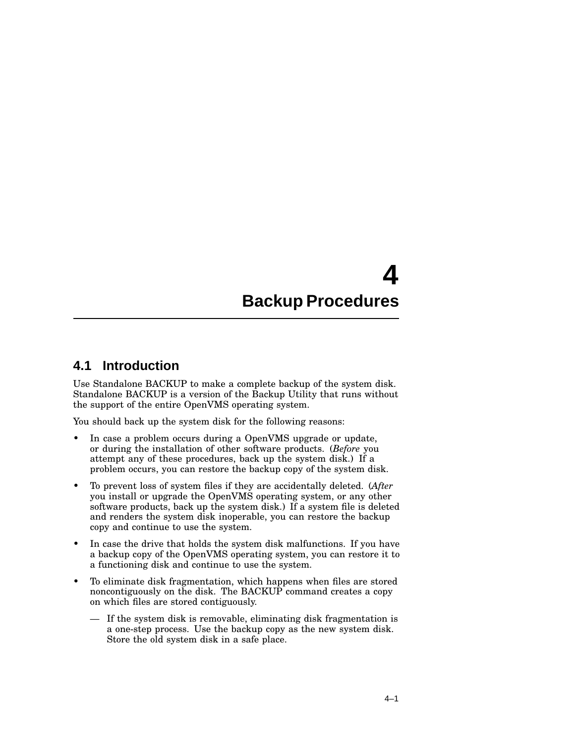# **4 Backup Procedures**

#### **4.1 Introduction**

Use Standalone BACKUP to make a complete backup of the system disk. Standalone BACKUP is a version of the Backup Utility that runs without the support of the entire OpenVMS operating system.

You should back up the system disk for the following reasons:

- In case a problem occurs during a OpenVMS upgrade or update, or during the installation of other software products. (*Before* you attempt any of these procedures, back up the system disk.) If a problem occurs, you can restore the backup copy of the system disk.
- To prevent loss of system files if they are accidentally deleted. (*After* you install or upgrade the OpenVMS operating system, or any other software products, back up the system disk.) If a system file is deleted and renders the system disk inoperable, you can restore the backup copy and continue to use the system.
- In case the drive that holds the system disk malfunctions. If you have a backup copy of the OpenVMS operating system, you can restore it to a functioning disk and continue to use the system.
- To eliminate disk fragmentation, which happens when files are stored noncontiguously on the disk. The BACKUP command creates a copy on which files are stored contiguously.
	- If the system disk is removable, eliminating disk fragmentation is a one-step process. Use the backup copy as the new system disk. Store the old system disk in a safe place.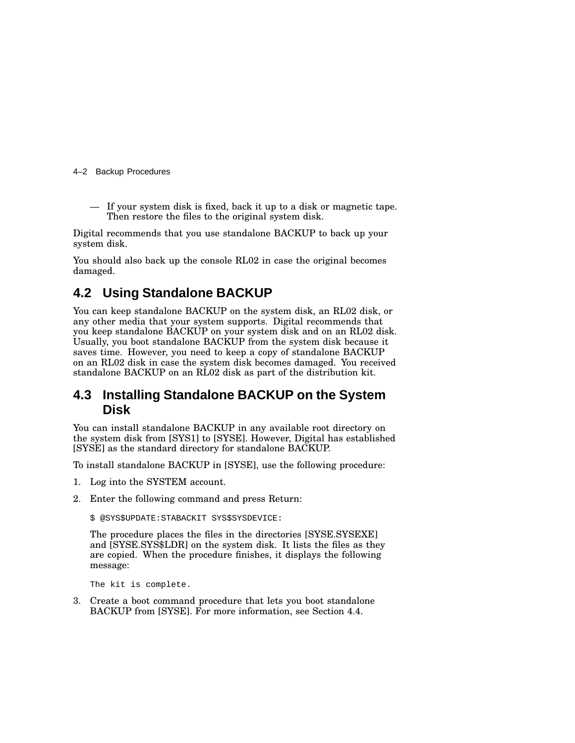#### 4–2 Backup Procedures

— If your system disk is fixed, back it up to a disk or magnetic tape. Then restore the files to the original system disk.

Digital recommends that you use standalone BACKUP to back up your system disk.

You should also back up the console RL02 in case the original becomes damaged.

### **4.2 Using Standalone BACKUP**

You can keep standalone BACKUP on the system disk, an RL02 disk, or any other media that your system supports. Digital recommends that you keep standalone BACKUP on your system disk and on an RL02 disk. Usually, you boot standalone BACKUP from the system disk because it saves time. However, you need to keep a copy of standalone BACKUP on an RL02 disk in case the system disk becomes damaged. You received standalone BACKUP on an RL02 disk as part of the distribution kit.

#### **4.3 Installing Standalone BACKUP on the System Disk**

You can install standalone BACKUP in any available root directory on the system disk from [SYS1] to [SYSE]. However, Digital has established [SYSE] as the standard directory for standalone BACKUP.

To install standalone BACKUP in [SYSE], use the following procedure:

- 1. Log into the SYSTEM account.
- 2. Enter the following command and press Return:

\$ @SYS\$UPDATE:STABACKIT SYS\$SYSDEVICE:

The procedure places the files in the directories [SYSE.SYSEXE] and [SYSE.SYS\$LDR] on the system disk. It lists the files as they are copied. When the procedure finishes, it displays the following message:

The kit is complete.

3. Create a boot command procedure that lets you boot standalone BACKUP from [SYSE]. For more information, see Section 4.4.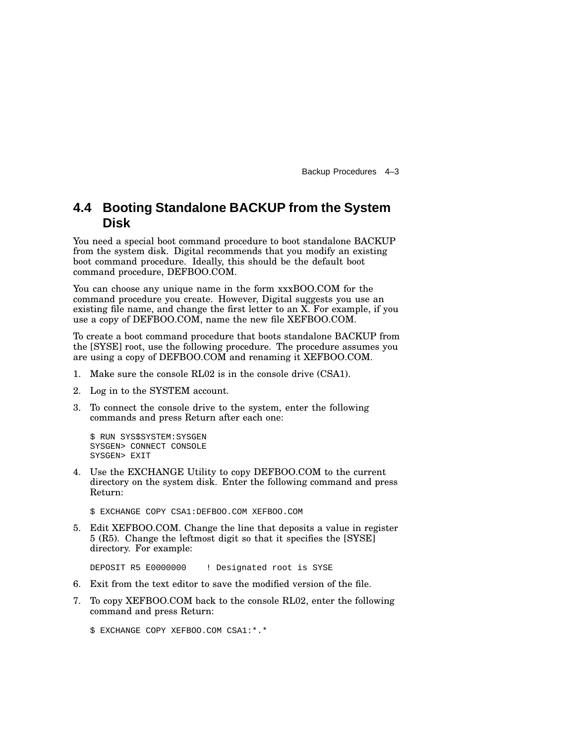Backup Procedures 4–3

## **4.4 Booting Standalone BACKUP from the System Disk**

You need a special boot command procedure to boot standalone BACKUP from the system disk. Digital recommends that you modify an existing boot command procedure. Ideally, this should be the default boot command procedure, DEFBOO.COM.

You can choose any unique name in the form xxxBOO.COM for the command procedure you create. However, Digital suggests you use an existing file name, and change the first letter to an X. For example, if you use a copy of DEFBOO.COM, name the new file XEFBOO.COM.

To create a boot command procedure that boots standalone BACKUP from the [SYSE] root, use the following procedure. The procedure assumes you are using a copy of DEFBOO.COM and renaming it XEFBOO.COM.

- 1. Make sure the console RL02 is in the console drive (CSA1).
- 2. Log in to the SYSTEM account.
- 3. To connect the console drive to the system, enter the following commands and press Return after each one:

\$ RUN SYS\$SYSTEM:SYSGEN SYSGEN> CONNECT CONSOLE SYSGEN> EXIT

4. Use the EXCHANGE Utility to copy DEFBOO.COM to the current directory on the system disk. Enter the following command and press Return:

\$ EXCHANGE COPY CSA1:DEFBOO.COM XEFBOO.COM

5. Edit XEFBOO.COM. Change the line that deposits a value in register 5 (R5). Change the leftmost digit so that it specifies the [SYSE] directory. For example:

DEPOSIT R5 E0000000 ! Designated root is SYSE

- 6. Exit from the text editor to save the modified version of the file.
- 7. To copy XEFBOO.COM back to the console RL02, enter the following command and press Return:

\$ EXCHANGE COPY XEFBOO.COM CSA1:\*.\*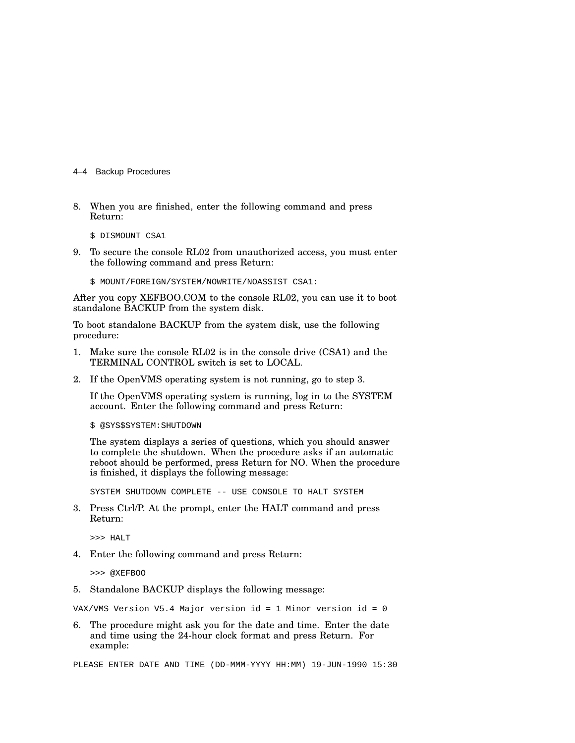- 4–4 Backup Procedures
- 8. When you are finished, enter the following command and press Return:

\$ DISMOUNT CSA1

- 9. To secure the console RL02 from unauthorized access, you must enter the following command and press Return:
	- \$ MOUNT/FOREIGN/SYSTEM/NOWRITE/NOASSIST CSA1:

After you copy XEFBOO.COM to the console RL02, you can use it to boot standalone BACKUP from the system disk.

To boot standalone BACKUP from the system disk, use the following procedure:

- 1. Make sure the console RL02 is in the console drive (CSA1) and the TERMINAL CONTROL switch is set to LOCAL.
- 2. If the OpenVMS operating system is not running, go to step 3.

If the OpenVMS operating system is running, log in to the SYSTEM account. Enter the following command and press Return:

\$ @SYS\$SYSTEM:SHUTDOWN

The system displays a series of questions, which you should answer to complete the shutdown. When the procedure asks if an automatic reboot should be performed, press Return for NO. When the procedure is finished, it displays the following message:

SYSTEM SHUTDOWN COMPLETE -- USE CONSOLE TO HALT SYSTEM

3. Press Ctrl/P. At the prompt, enter the HALT command and press Return:

>>> HALT

4. Enter the following command and press Return:

>>> @XEFBOO

5. Standalone BACKUP displays the following message:

VAX/VMS Version V5.4 Major version id = 1 Minor version id = 0

6. The procedure might ask you for the date and time. Enter the date and time using the 24-hour clock format and press Return. For example:

PLEASE ENTER DATE AND TIME (DD-MMM-YYYY HH:MM) 19-JUN-1990 15:30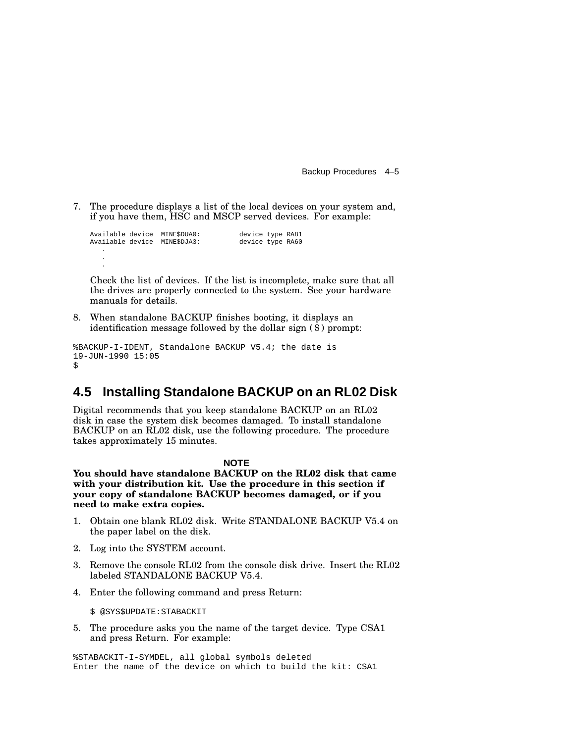Backup Procedures 4–5

7. The procedure displays a list of the local devices on your system and, if you have them, HSC and MSCP served devices. For example:

Available device MINE\$DUA0: device type RA81 Available device MINE\$DJA3: device type RA60 . . .

Check the list of devices. If the list is incomplete, make sure that all the drives are properly connected to the system. See your hardware manuals for details.

8. When standalone BACKUP finishes booting, it displays an identification message followed by the dollar sign (\$) prompt:

```
%BACKUP-I-IDENT, Standalone BACKUP V5.4; the date is
19-JUN-1990 15:05
$
```
#### **4.5 Installing Standalone BACKUP on an RL02 Disk**

Digital recommends that you keep standalone BACKUP on an RL02 disk in case the system disk becomes damaged. To install standalone BACKUP on an RL02 disk, use the following procedure. The procedure takes approximately 15 minutes.

#### **NOTE**

**You should have standalone BACKUP on the RL02 disk that came with your distribution kit. Use the procedure in this section if your copy of standalone BACKUP becomes damaged, or if you need to make extra copies.**

- 1. Obtain one blank RL02 disk. Write STANDALONE BACKUP V5.4 on the paper label on the disk.
- 2. Log into the SYSTEM account.
- 3. Remove the console RL02 from the console disk drive. Insert the RL02 labeled STANDALONE BACKUP V5.4.
- 4. Enter the following command and press Return:

\$ @SYS\$UPDATE:STABACKIT

5. The procedure asks you the name of the target device. Type CSA1 and press Return. For example:

%STABACKIT-I-SYMDEL, all global symbols deleted Enter the name of the device on which to build the kit: CSA1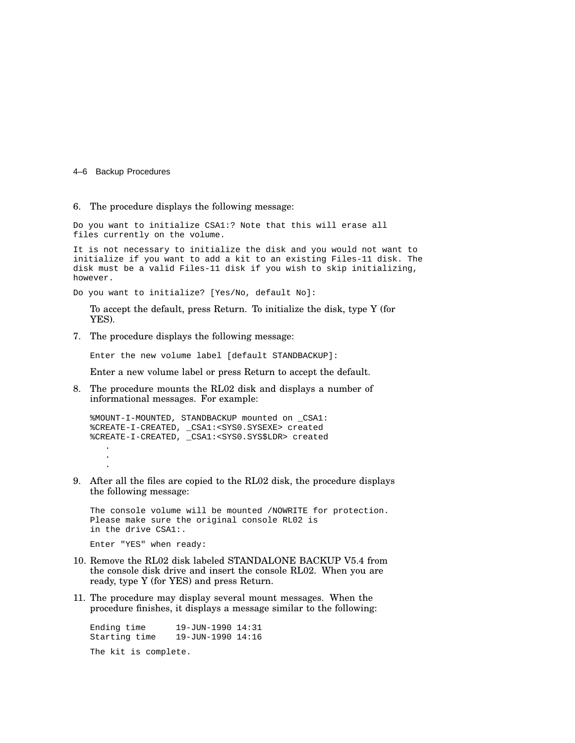#### 4–6 Backup Procedures

#### 6. The procedure displays the following message:

Do you want to initialize CSA1:? Note that this will erase all files currently on the volume.

It is not necessary to initialize the disk and you would not want to initialize if you want to add a kit to an existing Files-11 disk. The disk must be a valid Files-11 disk if you wish to skip initializing, however.

Do you want to initialize? [Yes/No, default No]:

To accept the default, press Return. To initialize the disk, type Y (for YES).

7. The procedure displays the following message:

Enter the new volume label [default STANDBACKUP]:

Enter a new volume label or press Return to accept the default.

8. The procedure mounts the RL02 disk and displays a number of informational messages. For example:

%MOUNT-I-MOUNTED, STANDBACKUP mounted on \_CSA1: %CREATE-I-CREATED, \_CSA1:<SYS0.SYSEXE> created %CREATE-I-CREATED, \_CSA1:<SYS0.SYS\$LDR> created .

. .

9. After all the files are copied to the RL02 disk, the procedure displays the following message:

The console volume will be mounted /NOWRITE for protection. Please make sure the original console RL02 is in the drive CSA1:.

Enter "YES" when ready:

- 10. Remove the RL02 disk labeled STANDALONE BACKUP V5.4 from the console disk drive and insert the console RL02. When you are ready, type Y (for YES) and press Return.
- 11. The procedure may display several mount messages. When the procedure finishes, it displays a message similar to the following:

Ending time 19-JUN-1990 14:31 Starting time 19-JUN-1990 14:16

The kit is complete.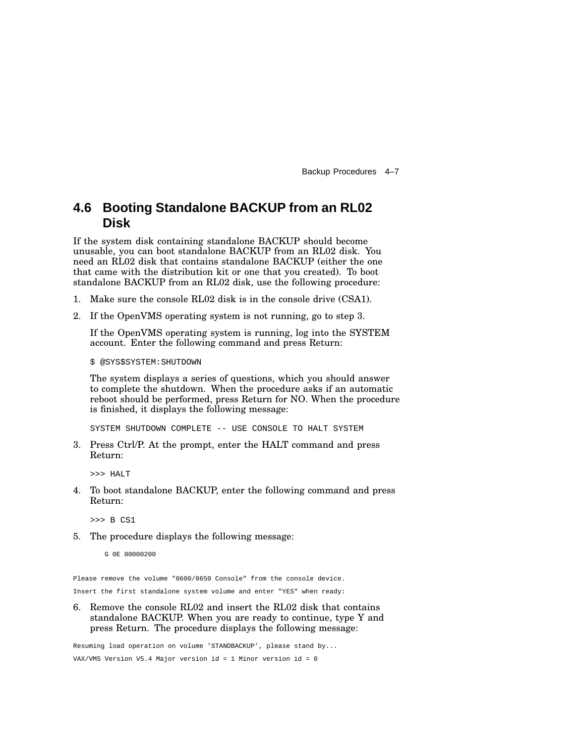Backup Procedures 4–7

### **4.6 Booting Standalone BACKUP from an RL02 Disk**

If the system disk containing standalone BACKUP should become unusable, you can boot standalone BACKUP from an RL02 disk. You need an RL02 disk that contains standalone BACKUP (either the one that came with the distribution kit or one that you created). To boot standalone BACKUP from an RL02 disk, use the following procedure:

- 1. Make sure the console RL02 disk is in the console drive (CSA1).
- 2. If the OpenVMS operating system is not running, go to step 3.

If the OpenVMS operating system is running, log into the SYSTEM account. Enter the following command and press Return:

\$ @SYS\$SYSTEM:SHUTDOWN

The system displays a series of questions, which you should answer to complete the shutdown. When the procedure asks if an automatic reboot should be performed, press Return for NO. When the procedure is finished, it displays the following message:

SYSTEM SHUTDOWN COMPLETE -- USE CONSOLE TO HALT SYSTEM

3. Press Ctrl/P. At the prompt, enter the HALT command and press Return:

>>> HALT

4. To boot standalone BACKUP, enter the following command and press Return:

>>> B CS1

5. The procedure displays the following message:

G 0E 00000200

Please remove the volume "8600/8650 Console" from the console device.

Insert the first standalone system volume and enter "YES" when ready:

6. Remove the console RL02 and insert the RL02 disk that contains standalone BACKUP. When you are ready to continue, type Y and press Return. The procedure displays the following message:

Resuming load operation on volume 'STANDBACKUP', please stand by...

VAX/VMS Version V5.4 Major version id = 1 Minor version id = 0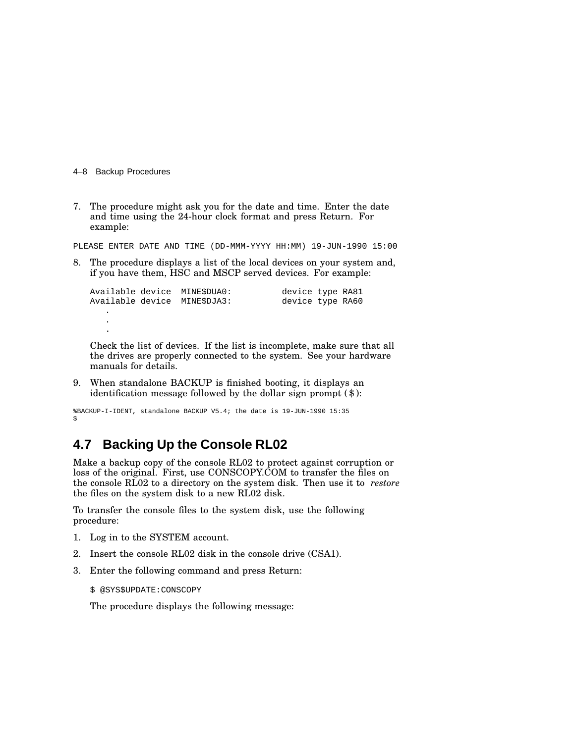4–8 Backup Procedures

7. The procedure might ask you for the date and time. Enter the date and time using the 24-hour clock format and press Return. For example:

PLEASE ENTER DATE AND TIME (DD-MMM-YYYY HH:MM) 19-JUN-1990 15:00

8. The procedure displays a list of the local devices on your system and, if you have them, HSC and MSCP served devices. For example:

```
Available device MINE$DUA0: device type RA81
Available device MINE$DJA3: device type RA60
  .
  .
  .
```
Check the list of devices. If the list is incomplete, make sure that all the drives are properly connected to the system. See your hardware manuals for details.

9. When standalone BACKUP is finished booting, it displays an identification message followed by the dollar sign prompt (\$):

```
%BACKUP-I-IDENT, standalone BACKUP V5.4; the date is 19-JUN-1990 15:35
$
```
## **4.7 Backing Up the Console RL02**

Make a backup copy of the console RL02 to protect against corruption or loss of the original. First, use CONSCOPY.COM to transfer the files on the console RL02 to a directory on the system disk. Then use it to *restore* the files on the system disk to a new RL02 disk.

To transfer the console files to the system disk, use the following procedure:

- 1. Log in to the SYSTEM account.
- 2. Insert the console RL02 disk in the console drive (CSA1).
- 3. Enter the following command and press Return:

\$ @SYS\$UPDATE:CONSCOPY

The procedure displays the following message: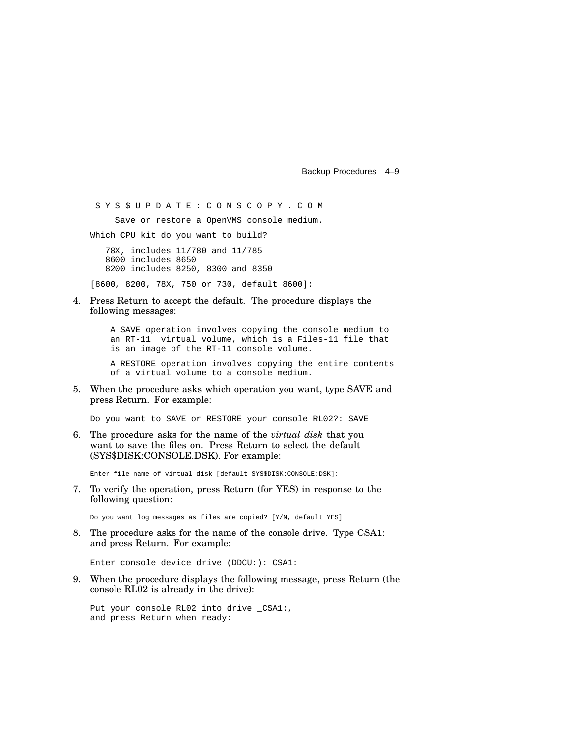Backup Procedures 4–9

S Y S \$ U P D A T E : C O N S C O P Y . C O M

Save or restore a OpenVMS console medium.

Which CPU kit do you want to build?

78X, includes 11/780 and 11/785 8600 includes 8650 8200 includes 8250, 8300 and 8350

[8600, 8200, 78X, 750 or 730, default 8600]:

4. Press Return to accept the default. The procedure displays the following messages:

> A SAVE operation involves copying the console medium to an RT-11 virtual volume, which is a Files-11 file that is an image of the RT-11 console volume.

A RESTORE operation involves copying the entire contents of a virtual volume to a console medium.

5. When the procedure asks which operation you want, type SAVE and press Return. For example:

Do you want to SAVE or RESTORE your console RL02?: SAVE

6. The procedure asks for the name of the *virtual disk* that you want to save the files on. Press Return to select the default (SYS\$DISK:CONSOLE.DSK). For example:

Enter file name of virtual disk [default SYS\$DISK:CONSOLE:DSK]:

7. To verify the operation, press Return (for YES) in response to the following question:

Do you want log messages as files are copied? [Y/N, default YES]

8. The procedure asks for the name of the console drive. Type CSA1: and press Return. For example:

Enter console device drive (DDCU:): CSA1:

9. When the procedure displays the following message, press Return (the console RL02 is already in the drive):

Put your console RL02 into drive \_CSA1:, and press Return when ready: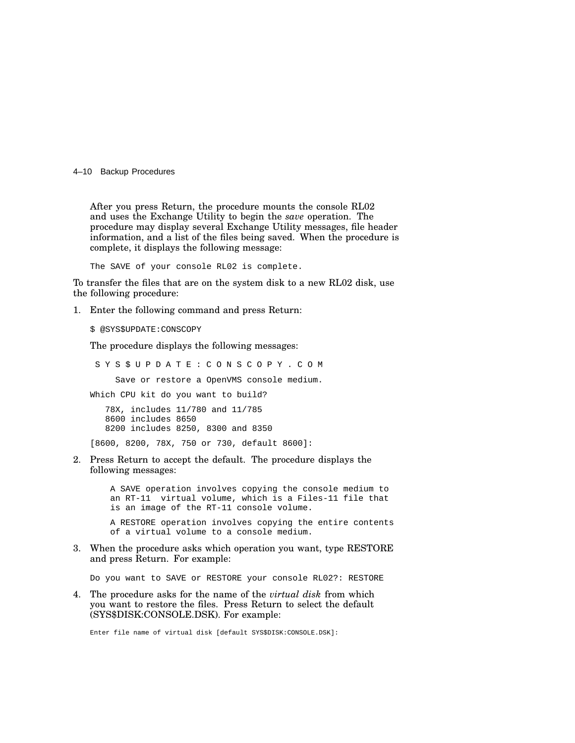4–10 Backup Procedures

After you press Return, the procedure mounts the console RL02 and uses the Exchange Utility to begin the *save* operation. The procedure may display several Exchange Utility messages, file header information, and a list of the files being saved. When the procedure is complete, it displays the following message:

The SAVE of your console RL02 is complete.

To transfer the files that are on the system disk to a new RL02 disk, use the following procedure:

1. Enter the following command and press Return:

\$ @SYS\$UPDATE:CONSCOPY

The procedure displays the following messages:

S Y S \$ U P D A T E : C O N S C O P Y . C O M

Save or restore a OpenVMS console medium.

Which CPU kit do you want to build?

78X, includes 11/780 and 11/785 8600 includes 8650 8200 includes 8250, 8300 and 8350

[8600, 8200, 78X, 750 or 730, default 8600]:

2. Press Return to accept the default. The procedure displays the following messages:

> A SAVE operation involves copying the console medium to an RT-11 virtual volume, which is a Files-11 file that is an image of the RT-11 console volume.

A RESTORE operation involves copying the entire contents of a virtual volume to a console medium.

3. When the procedure asks which operation you want, type RESTORE and press Return. For example:

Do you want to SAVE or RESTORE your console RL02?: RESTORE

4. The procedure asks for the name of the *virtual disk* from which you want to restore the files. Press Return to select the default (SYS\$DISK:CONSOLE.DSK). For example:

Enter file name of virtual disk [default SYS\$DISK:CONSOLE.DSK]: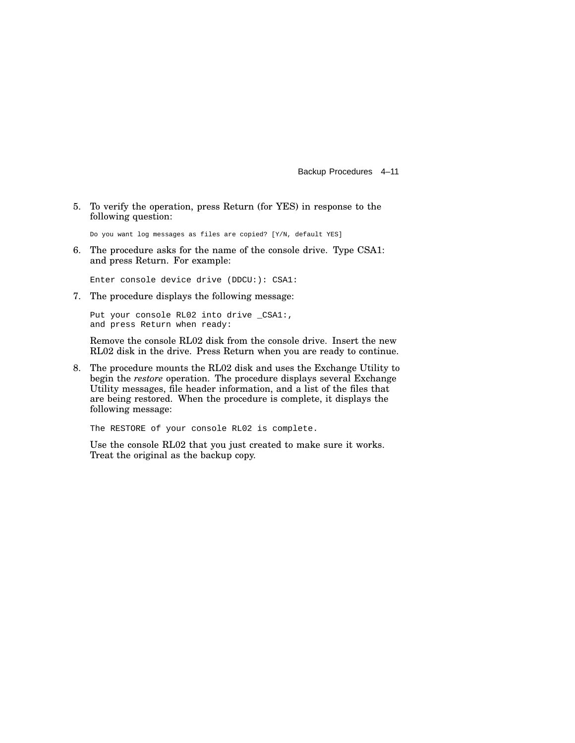Backup Procedures 4–11

5. To verify the operation, press Return (for YES) in response to the following question:

Do you want log messages as files are copied? [Y/N, default YES]

6. The procedure asks for the name of the console drive. Type CSA1: and press Return. For example:

Enter console device drive (DDCU:): CSA1:

7. The procedure displays the following message:

Put your console RL02 into drive \_CSA1:, and press Return when ready:

Remove the console RL02 disk from the console drive. Insert the new RL02 disk in the drive. Press Return when you are ready to continue.

8. The procedure mounts the RL02 disk and uses the Exchange Utility to begin the *restore* operation. The procedure displays several Exchange Utility messages, file header information, and a list of the files that are being restored. When the procedure is complete, it displays the following message:

The RESTORE of your console RL02 is complete.

Use the console RL02 that you just created to make sure it works. Treat the original as the backup copy.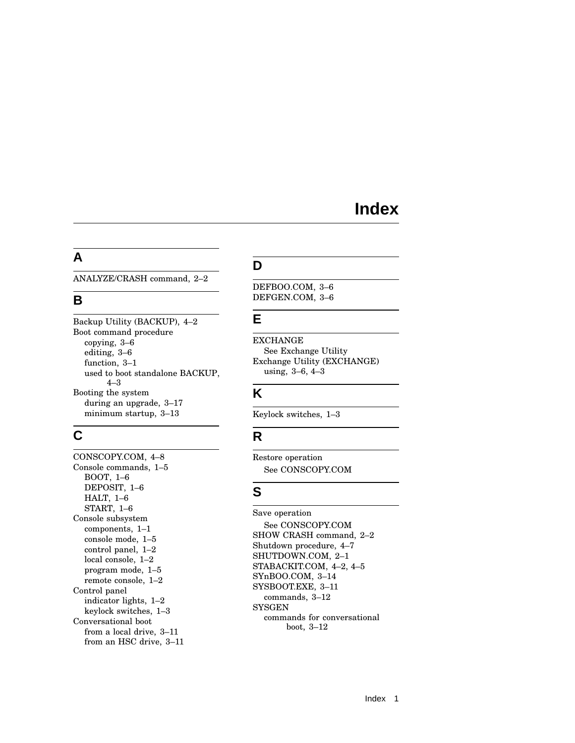## **Index**

#### **A**

ANALYZE/CRASH command, 2–2

### **B**

Backup Utility (BACKUP), 4–2 Boot command procedure copying, 3–6 editing, 3–6 function, 3–1 used to boot standalone BACKUP, 4–3 Booting the system during an upgrade, 3–17 minimum startup, 3–13

## **C**

CONSCOPY.COM, 4–8 Console commands, 1–5 BOOT, 1–6 DEPOSIT, 1–6 HALT, 1–6 START, 1–6 Console subsystem components, 1–1 console mode, 1–5 control panel, 1–2 local console, 1–2 program mode, 1–5 remote console, 1–2 Control panel indicator lights, 1–2 keylock switches, 1–3 Conversational boot from a local drive, 3–11 from an HSC drive, 3–11

## **D**

DEFBOO.COM, 3–6 DEFGEN.COM, 3–6

## **E**

EXCHANGE See Exchange Utility Exchange Utility (EXCHANGE) using, 3–6, 4–3

## **K**

Keylock switches, 1–3

## **R**

Restore operation See CONSCOPY.COM

## **S**

Save operation See CONSCOPY.COM SHOW CRASH command, 2–2 Shutdown procedure, 4–7 SHUTDOWN.COM, 2–1 STABACKIT.COM, 4–2, 4–5 SYnBOO.COM, 3–14 SYSBOOT.EXE, 3–11 commands, 3–12 **SYSGEN** commands for conversational boot, 3–12